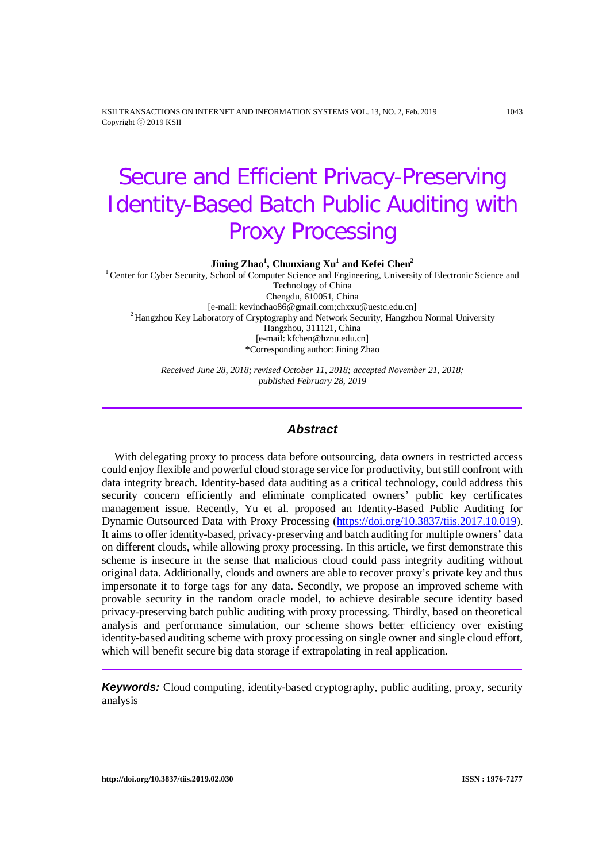KSII TRANSACTIONS ON INTERNET AND INFORMATION SYSTEMS VOL. 13, NO. 2, Feb. 2019 1043 Copyright ⓒ 2019 KSII

# Secure and Efficient Privacy-Preserving Identity-Based Batch Public Auditing with Proxy Processing

 $\mathbf{Jining}\ \mathbf{Zhao}^{1}$ ,  $\mathbf{Chunxiang}\ \mathbf{Xu}^{1}$  and  $\mathbf{Kefei}\ \mathbf{Chen}^{2}$ 

<sup>1</sup> Center for Cyber Security, School of Computer Science and Engineering, University of Electronic Science and Technology of China Chengdu, 610051, China<br>[e-mail: kevinchao86@gmail.com;chxxu@uestc.edu.cn]  $<sup>2</sup>$  Hangzhou Key Laboratory of Cryptography and Network Security, Hangzhou Normal University</sup> Hangzhou, 311121, China [e-mail: kfchen@hznu.edu.cn] \*Corresponding author: Jining Zhao

> *Received June 28, 2018; revised October 11, 2018; accepted November 21, 2018; published February 28, 2019*

#### *Abstract*

With delegating proxy to process data before outsourcing, data owners in restricted access could enjoy flexible and powerful cloud storage service for productivity, but still confront with data integrity breach. Identity-based data auditing as a critical technology, could address this security concern efficiently and eliminate complicated owners' public key certificates management issue. Recently, Yu et al. proposed an Identity-Based Public Auditing for Dynamic Outsourced Data with Proxy Processing [\(https://doi.org/10.3837/tiis.2017.10.019\)](https://doi.org/10.3837/tiis.2017.10.019). It aims to offer identity-based, privacy-preserving and batch auditing for multiple owners' data on different clouds, while allowing proxy processing. In this article, we first demonstrate this scheme is insecure in the sense that malicious cloud could pass integrity auditing without original data. Additionally, clouds and owners are able to recover proxy's private key and thus impersonate it to forge tags for any data. Secondly, we propose an improved scheme with provable security in the random oracle model, to achieve desirable secure identity based privacy-preserving batch public auditing with proxy processing. Thirdly, based on theoretical analysis and performance simulation, our scheme shows better efficiency over existing identity-based auditing scheme with proxy processing on single owner and single cloud effort, which will benefit secure big data storage if extrapolating in real application.

*Keywords:* Cloud computing, identity-based cryptography, public auditing, proxy, security analysis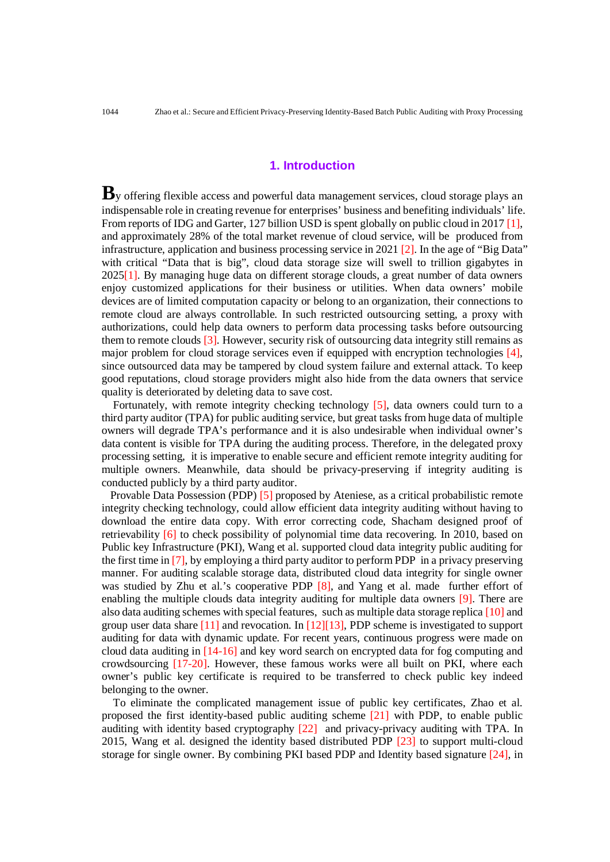## **1. Introduction**

By offering flexible access and powerful data management services, cloud storage plays an indispensable role in creating revenue for enterprises' business and benefiting individuals' life. From reports of IDG and Garter, 127 billion USD is spent globally on public cloud in 2017 [1], and approximately 28% of the total market revenue of cloud service, will be produced from infrastructure, application and business processing service in 2021  $[2]$ . In the age of "Big Data" with critical "Data that is big", cloud data storage size will swell to trillion gigabytes in 2025[1]. By managing huge data on different storage clouds, a great number of data owners enjoy customized applications for their business or utilities. When data owners' mobile devices are of limited computation capacity or belong to an organization, their connections to remote cloud are always controllable. In such restricted outsourcing setting, a proxy with authorizations, could help data owners to perform data processing tasks before outsourcing them to remote clouds [3]. However, security risk of outsourcing data integrity still remains as major problem for cloud storage services even if equipped with encryption technologies [4], since outsourced data may be tampered by cloud system failure and external attack. To keep good reputations, cloud storage providers might also hide from the data owners that service quality is deteriorated by deleting data to save cost.

Fortunately, with remote integrity checking technology [5], data owners could turn to a third party auditor (TPA) for public auditing service, but great tasks from huge data of multiple owners will degrade TPA's performance and it is also undesirable when individual owner's data content is visible for TPA during the auditing process. Therefore, in the delegated proxy processing setting, it is imperative to enable secure and efficient remote integrity auditing for multiple owners. Meanwhile, data should be privacy-preserving if integrity auditing is conducted publicly by a third party auditor.

 Provable Data Possession (PDP) [5] proposed by Ateniese, as a critical probabilistic remote integrity checking technology, could allow efficient data integrity auditing without having to download the entire data copy. With error correcting code, Shacham designed proof of retrievability [6] to check possibility of polynomial time data recovering. In 2010, based on Public key Infrastructure (PKI), Wang et al. supported cloud data integrity public auditing for the first time in [7], by employing a third party auditor to perform PDP in a privacy preserving manner. For auditing scalable storage data, distributed cloud data integrity for single owner was studied by Zhu et al.'s cooperative PDP [8], and Yang et al. made further effort of enabling the multiple clouds data integrity auditing for multiple data owners [9]. There are also data auditing schemes with special features, such as multiple data storage replica [10] and group user data share [11] and revocation. In [12][13], PDP scheme is investigated to support auditing for data with dynamic update. For recent years, continuous progress were made on cloud data auditing in [14-16] and key word search on encrypted data for fog computing and crowdsourcing [17-20]. However, these famous works were all built on PKI, where each owner's public key certificate is required to be transferred to check public key indeed belonging to the owner.

To eliminate the complicated management issue of public key certificates, Zhao et al. proposed the first identity-based public auditing scheme [21] with PDP, to enable public auditing with identity based cryptography [22] and privacy-privacy auditing with TPA. In 2015, Wang et al. designed the identity based distributed PDP [23] to support multi-cloud storage for single owner. By combining PKI based PDP and Identity based signature [24], in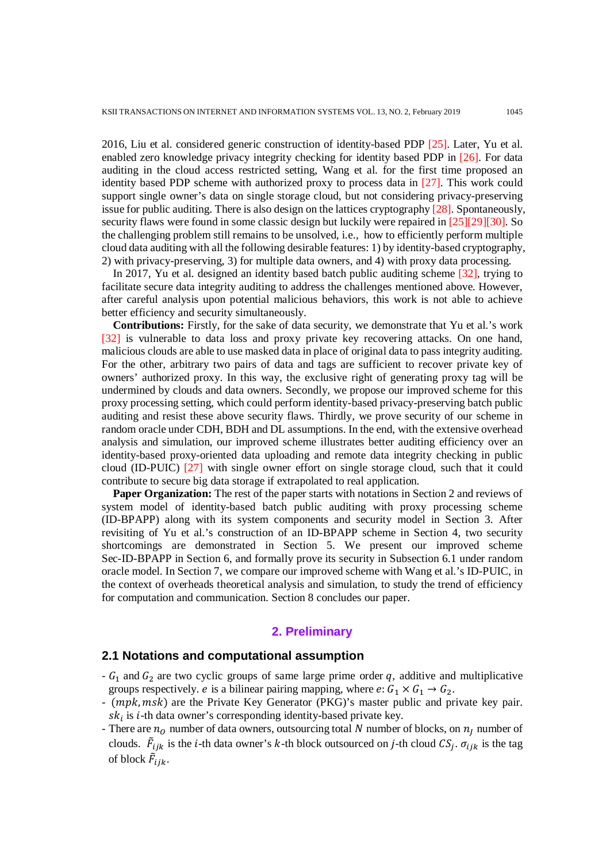2016, Liu et al. considered generic construction of identity-based PDP [25]. Later, Yu et al. enabled zero knowledge privacy integrity checking for identity based PDP in [26]. For data auditing in the cloud access restricted setting, Wang et al. for the first time proposed an identity based PDP scheme with authorized proxy to process data in [27]. This work could support single owner's data on single storage cloud, but not considering privacy-preserving issue for public auditing. There is also design on the lattices cryptography [28]. Spontaneously, security flaws were found in some classic design but luckily were repaired in [25][29][30]. So the challenging problem still remains to be unsolved, i.e., how to efficiently perform multiple cloud data auditing with all the following desirable features: 1) by identity-based cryptography, 2) with privacy-preserving, 3) for multiple data owners, and 4) with proxy data processing.

In 2017, Yu et al. designed an identity based batch public auditing scheme [32], trying to facilitate secure data integrity auditing to address the challenges mentioned above. However, after careful analysis upon potential malicious behaviors, this work is not able to achieve better efficiency and security simultaneously.

**Contributions:** Firstly, for the sake of data security, we demonstrate that Yu et al.'s work [32] is vulnerable to data loss and proxy private key recovering attacks. On one hand, malicious clouds are able to use masked data in place of original data to pass integrity auditing. For the other, arbitrary two pairs of data and tags are sufficient to recover private key of owners' authorized proxy. In this way, the exclusive right of generating proxy tag will be undermined by clouds and data owners. Secondly, we propose our improved scheme for this proxy processing setting, which could perform identity-based privacy-preserving batch public auditing and resist these above security flaws. Thirdly, we prove security of our scheme in random oracle under CDH, BDH and DL assumptions. In the end, with the extensive overhead analysis and simulation, our improved scheme illustrates better auditing efficiency over an identity-based proxy-oriented data uploading and remote data integrity checking in public cloud (ID-PUIC) [27] with single owner effort on single storage cloud, such that it could contribute to secure big data storage if extrapolated to real application.

**Paper Organization:** The rest of the paper starts with notations in Section 2 and reviews of system model of identity-based batch public auditing with proxy processing scheme (ID-BPAPP) along with its system components and security model in Section 3. After revisiting of Yu et al.'s construction of an ID-BPAPP scheme in Section 4, two security shortcomings are demonstrated in Section 5. We present our improved scheme Sec-ID-BPAPP in Section 6, and formally prove its security in Subsection 6.1 under random oracle model. In Section 7, we compare our improved scheme with Wang et al.'s ID-PUIC, in the context of overheads theoretical analysis and simulation, to study the trend of efficiency for computation and communication. Section 8 concludes our paper.

# **2. Preliminary**

# **2.1 Notations and computational assumption**

- $G_1$  and  $G_2$  are two cyclic groups of same large prime order q, additive and multiplicative groups respectively. *e* is a bilinear pairing mapping, where  $e: G_1 \times G_1 \rightarrow G_2$ .
- (mpk, msk) are the Private Key Generator (PKG)'s master public and private key pair.  $sk_i$  is *i*-th data owner's corresponding identity-based private key.
- There are  $n_0$  number of data owners, outsourcing total N number of blocks, on  $n_i$  number of clouds.  $\bar{F}_{ijk}$  is the *i*-th data owner's *k*-th block outsourced on *j*-th cloud  $CS_j$ .  $\sigma_{ijk}$  is the tag of block  $\bar{F}_{ijk}$ .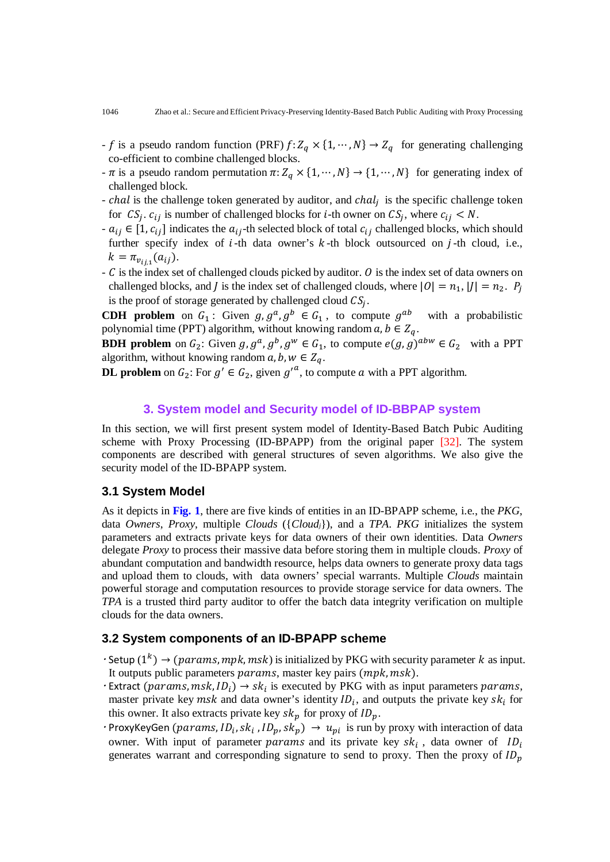- f is a pseudo random function (PRF)  $f: Z_q \times \{1, \dots, N\} \to Z_q$  for generating challenging co-efficient to combine challenged blocks.
- $\pi$  is a pseudo random permutation  $\pi: Z_q \times \{1, \dots, N\} \to \{1, \dots, N\}$  for generating index of challenged block.
- $-$  chal is the challenge token generated by auditor, and chal<sub>i</sub> is the specific challenge token for  $CS_j$ .  $c_{ij}$  is number of challenged blocks for *i*-th owner on  $CS_j$ , where  $c_{ij} < N$ .
- $-a_{ij} \in [1, c_{ij}]$  indicates the  $a_{ij}$ -th selected block of total  $c_{ij}$  challenged blocks, which should further specify index of  $i$ -th data owner's  $k$ -th block outsourced on  $j$ -th cloud, i.e.,  $k = \pi_{v_{ij,1}}(a_{ij}).$
- $\mathcal C$  is the index set of challenged clouds picked by auditor.  $\mathcal O$  is the index set of data owners on challenged blocks, and *I* is the index set of challenged clouds, where  $|0| = n_1$ ,  $|1| = n_2$ .  $P_i$ is the proof of storage generated by challenged cloud  $CS_i$ .

**CDH** problem on  $G_1$ : Given  $g, g^a, g^b \in G_1$ , to compute  $g^{ab}$  with a probabilistic polynomial time (PPT) algorithm, without knowing random  $a, b \in Z_q$ .

**BDH problem** on  $G_2$ : Given  $g, g^a, g^b, g^w \in G_1$ , to compute  $e(g, g)^{abw} \in G_2$  with a PPT algorithm, without knowing random  $a, b, w \in Z_q$ .

**DL problem** on  $G_2$ : For  $g' \in G_2$ , given  ${g'}^a$ , to compute a with a PPT algorithm.

# **3. System model and Security model of ID-BBPAP system**

In this section, we will first present system model of Identity-Based Batch Pubic Auditing scheme with Proxy Processing (ID-BPAPP) from the original paper [32]. The system components are described with general structures of seven algorithms. We also give the security model of the ID-BPAPP system.

# **3.1 System Model**

As it depicts in **Fig. 1**, there are five kinds of entities in an ID-BPAPP scheme, i.e., the *PKG*, data *Owners*, *Proxy*, multiple *Clouds* ({*Cloudj*}), and a *TPA*. *PKG* initializes the system parameters and extracts private keys for data owners of their own identities. Data *Owners* delegate *Proxy* to process their massive data before storing them in multiple clouds. *Proxy* of abundant computation and bandwidth resource, helps data owners to generate proxy data tags and upload them to clouds, with data owners' special warrants. Multiple *Clouds* maintain powerful storage and computation resources to provide storage service for data owners. The *TPA* is a trusted third party auditor to offer the batch data integrity verification on multiple clouds for the data owners.

# **3.2 System components of an ID-BPAPP scheme**

- $\cdot$  Setup (1<sup>k</sup>)  $\rightarrow$  (params, mpk, msk) is initialized by PKG with security parameter k as input. It outputs public parameters  $params$ , master key pairs  $(mpk, msk)$ .
- Extract (params, msk,  $ID_i$ )  $\rightarrow$  sk<sub>i</sub> is executed by PKG with as input parameters params, master private key  $msk$  and data owner's identity  $ID_i$ , and outputs the private key  $sk_i$  for this owner. It also extracts private key  $sk_p$  for proxy of  $ID_p$ .
- ProxyKeyGen (params,  $ID_i, sk_i$ ,  $ID_p, sk_p) \rightarrow u_{pi}$  is run by proxy with interaction of data owner. With input of parameter *params* and its private key  $sk_i$ , data owner of  $ID_i$ generates warrant and corresponding signature to send to proxy. Then the proxy of  $ID_n$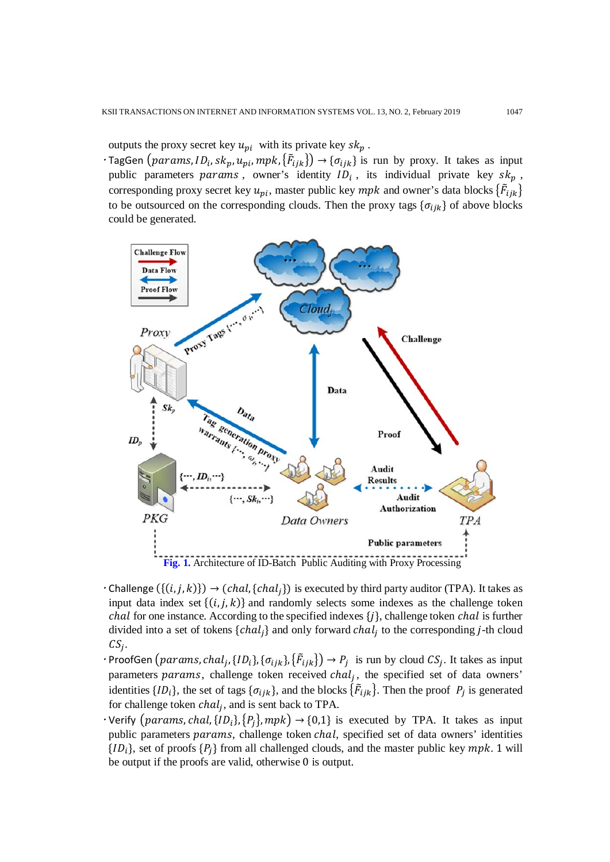outputs the proxy secret key  $u_{pi}$  with its private key  $sk_p$ .

 $\cdot$ TagGen (params,  $ID_i$ , s $k_p$ ,  $u_{pi}$ , mpk,  $\{\overline{F}_{ijk}\}\rightarrow{\{\sigma_{ijk}\}}$  is run by proxy. It takes as input public parameters params, owner's identity  $ID_i$ , its individual private key  $sk_p$ , corresponding proxy secret key  $u_{pi}$ , master public key  $mpk$  and owner's data blocks  $\{\ddot{F}_{ijk}\}$ to be outsourced on the corresponding clouds. Then the proxy tags  $\{\sigma_{iik}\}$  of above blocks could be generated.



- $\cdot$  Challenge  $(\{(i,j,k)\}) \rightarrow (chal, \{chal_j\})$  is executed by third party auditor (TPA). It takes as input data index set  $\{(i, j, k)\}$  and randomly selects some indexes as the challenge token *chal* for one instance. According to the specified indexes  $\{j\}$ , challenge token *chal* is further divided into a set of tokens  $\{chal_i\}$  and only forward  $chal_i$  to the corresponding j-th cloud  $CS_i$ .
- ProofGen (params, chal<sub>j</sub>, { $[D_i]$ , { $\sigma_{ijk}$ }, { $\tilde{F}_{ijk}$ })  $\rightarrow P_j$  is run by cloud  $CS_j$ . It takes as input parameters params, challenge token received  $chal_j$ , the specified set of data owners' identities  ${ID_i}$ , the set of tags  ${\{\sigma_{ijk}\}}$ , and the blocks  ${\{\tilde{F}_{ijk}\}}$ . Then the proof  $P_j$  is generated for challenge token  $chal<sub>j</sub>$ , and is sent back to TPA.
- $\cdot$  Verify (params, chal, {ID<sub>i</sub>}, {P<sub>j</sub>}, mpk)  $\rightarrow$  {0,1} is executed by TPA. It takes as input public parameters params, challenge token *chal*, specified set of data owners' identities  ${ID<sub>i</sub>},$  set of proofs  ${P<sub>i</sub>}$  from all challenged clouds, and the master public key mpk. 1 will be output if the proofs are valid, otherwise 0 is output.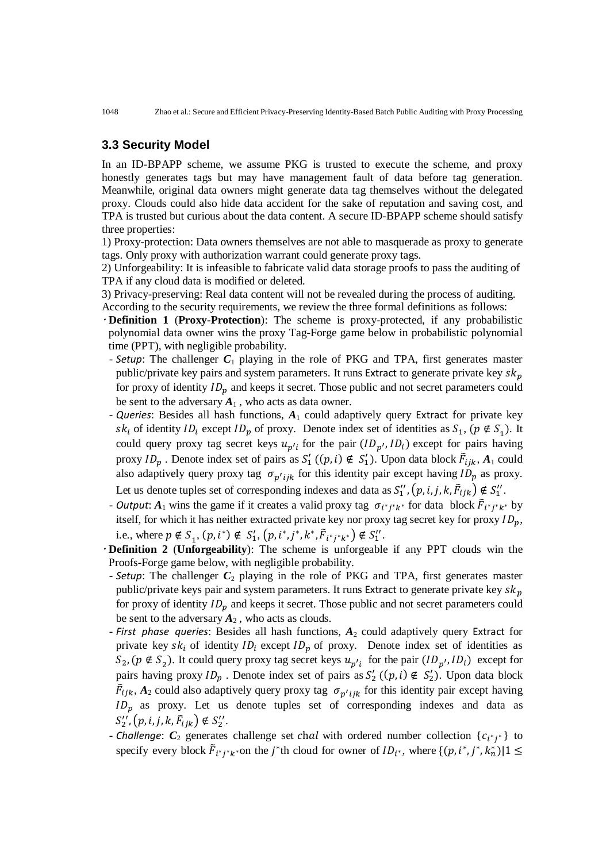# **3.3 Security Model**

In an ID-BPAPP scheme, we assume PKG is trusted to execute the scheme, and proxy honestly generates tags but may have management fault of data before tag generation. Meanwhile, original data owners might generate data tag themselves without the delegated proxy. Clouds could also hide data accident for the sake of reputation and saving cost, and TPA is trusted but curious about the data content. A secure ID-BPAPP scheme should satisfy three properties:

1) Proxy-protection: Data owners themselves are not able to masquerade as proxy to generate tags. Only proxy with authorization warrant could generate proxy tags.

2) Unforgeability: It is infeasible to fabricate valid data storage proofs to pass the auditing of TPA if any cloud data is modified or deleted.

3) Privacy-preserving: Real data content will not be revealed during the process of auditing. According to the security requirements, we review the three formal definitions as follows:

 **Definition 1** (**Proxy-Protection**): The scheme is proxy-protected, if any probabilistic polynomial data owner wins the proxy Tag-Forge game below in probabilistic polynomial time (PPT), with negligible probability.

- *Setup*: The challenger *C*<sup>1</sup> playing in the role of PKG and TPA, first generates master public/private key pairs and system parameters. It runs Extract to generate private key  $sk_p$ for proxy of identity  $ID_p$  and keeps it secret. Those public and not secret parameters could be sent to the adversary  $A_1$ , who acts as data owner.
- *Queries*: Besides all hash functions, *A*<sup>1</sup> could adaptively query Extract for private key  $sk_i$  of identity  $ID_i$  except  $ID_p$  of proxy. Denote index set of identities as  $S_1$ ,  $(p \notin S_1)$ . It could query proxy tag secret keys  $u_{p'i}$  for the pair  $(ID_{p'}, ID_i)$  except for pairs having proxy  $ID_p$ . Denote index set of pairs as  $S'_1$  ( $(p, i) \notin S'_1$ ). Upon data block  $\tilde{F}_{ijk}$ ,  $A_1$  could also adaptively query proxy tag  $\sigma_{p'ijk}$  for this identity pair except having  $ID_p$  as proxy. Let us denote tuples set of corresponding indexes and data as  $S_1'', (p, i, j, k, \vec{F}_{ijk}) \notin S_1''$ .
- *Output*:  $A_1$  wins the game if it creates a valid proxy tag  $\sigma_{i^*j^*k^*}$  for data block  $\tilde{F}_{i^*j^*k^*}$  by itself, for which it has neither extracted private key nor proxy tag secret key for proxy  $ID_p$ , i.e., where  $p \notin S_1$ ,  $(p, i^*) \notin S_1'$ ,  $(p, i^*, j^*, k^*, \overline{F}_{i^*j^*k^*}) \notin S_1'$ .
- **Definition 2** (**Unforgeability**): The scheme is unforgeable if any PPT clouds win the Proofs-Forge game below, with negligible probability.
- **Setup**: The challenger  $C_2$  playing in the role of PKG and TPA, first generates master public/private keys pair and system parameters. It runs Extract to generate private key  $sk_p$ for proxy of identity  $ID_n$  and keeps it secret. Those public and not secret parameters could be sent to the adversary  $A_2$ , who acts as clouds.
- *First phase queries*: Besides all hash functions, *A*<sup>2</sup> could adaptively query Extract for private key  $s k_i$  of identity  $ID_i$  except  $ID_p$  of proxy. Denote index set of identities as  $S_2$ ,  $(p \notin S_2)$ . It could query proxy tag secret keys  $u_{p'i}$  for the pair  $(ID_{p'}, ID_i)$  except for pairs having proxy  $ID_p$ . Denote index set of pairs as  $S'_2$  ( $(p, i) \notin S'_2$ ). Upon data block  $\bar{F}_{ijk}$ ,  $A_2$  could also adaptively query proxy tag  $\sigma_{p'ijk}$  for this identity pair except having  $ID_p$  as proxy. Let us denote tuples set of corresponding indexes and data as  $S_2'', (p, i, j, k, \tilde{F}_{ijk}) \notin S_2''.$
- *Challenge*:  $C_2$  generates challenge set chal with ordered number collection  ${c_{i^*j^*}}$  to specify every block  $\vec{F}_{i^*j^*k^*}$  on the *j*<sup>\*</sup>th cloud for owner of  $ID_{i^*}$ , where  $\{(p, i^*, j^*, k_n^*) | 1 \leq$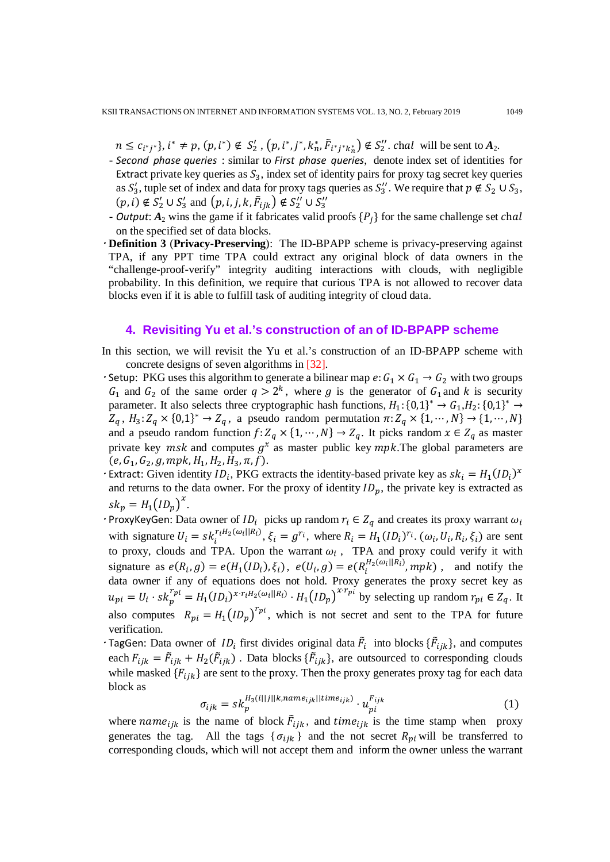$n \leq c_{i^*j^*}, i^* \neq p$ ,  $(p, i^*) \notin S'_2$ ,  $(p, i^*, j^*, k_n^*, \tilde{F}_{i^*j^*k_n^*}) \notin S''_2$ . chal will be sent to  $A_2$ .

- *Second phase queries* : similar to *First phase queries*, denote index set of identities for Extract private key queries as  $S_3$ , index set of identity pairs for proxy tag secret key queries as  $S'_3$ , tuple set of index and data for proxy tags queries as  $S''_3$ . We require that  $p \notin S_2 \cup S_3$ ,  $(p, i) \notin S'_2 \cup S'_3$  and  $(p, i, j, k, \tilde{F}_{ijk}) \notin S''_2 \cup S''_3$
- *Output*:  $A_2$  wins the game if it fabricates valid proofs  $\{P_i\}$  for the same challenge set chal on the specified set of data blocks.
- **Definition 3** (**Privacy-Preserving**): The ID-BPAPP scheme is privacy-preserving against TPA, if any PPT time TPA could extract any original block of data owners in the "challenge-proof-verify" integrity auditing interactions with clouds, with negligible probability. In this definition, we require that curious TPA is not allowed to recover data blocks even if it is able to fulfill task of auditing integrity of cloud data.

#### **4. Revisiting Yu et al.'s construction of an of ID-BPAPP scheme**

- In this section, we will revisit the Yu et al.'s construction of an ID-BPAPP scheme with concrete designs of seven algorithms in [32].
- Setup: PKG uses this algorithm to generate a bilinear map  $e: G_1 \times G_1 \rightarrow G_2$  with two groups  $G_1$  and  $G_2$  of the same order  $q > 2^k$ , where g is the generator of  $G_1$  and k is security parameter. It also selects three cryptographic hash functions,  $H_1: \{0,1\}^* \to G_1, H_2: \{0,1\}^* \to$  $Z_q$ ,  $H_3: Z_q \times \{0,1\}^* \to Z_q$ , a pseudo random permutation  $\pi: Z_q \times \{1, \dots, N\} \to \{1, \dots, N\}$ and a pseudo random function  $f: Z_q \times \{1, \dots, N\} \to Z_q$ . It picks random  $x \in Z_q$  as master private key  $msk$  and computes  $g^x$  as master public key  $mpk$ . The global parameters are  $(e, G_1, G_2, g, mpk, H_1, H_2, H_3, \pi, f).$
- Extract: Given identity  $ID_i$ , PKG extracts the identity-based private key as  $sk_i = H_1(ID_i)^x$ and returns to the data owner. For the proxy of identity  $ID_p$ , the private key is extracted as  $sk_p = H_1 (ID_p)^x$ .
- ProxyKeyGen: Data owner of  $ID_i$  picks up random  $r_i \in Z_q$  and creates its proxy warrant  $\omega_i$ with signature  $U_i = s k_i^{r_i H_2(\omega_i||R_i)}$ ,  $\xi_i = g^{r_i}$ , where  $R_i = H_1(ID_i)^{r_i}$ .  $(\omega_i, U_i, R_i, \xi_i)$  are sent to proxy, clouds and TPA. Upon the warrant  $\omega_i$ , TPA and proxy could verify it with signature as  $e(R_i, g) = e(H_1(ID_i), \xi_i)$ ,  $e(U_i, g) = e(R_i^{H_2(\omega_i||R_i)}, mpk)$ , and notify the data owner if any of equations does not hold. Proxy generates the proxy secret key as  $u_{pi} = U_i \cdot sk_p^{r_{pi}} = H_1(ID_i)^{x \cdot r_i H_2(\omega_i || R_i)} \cdot H_1(ID_p)^{x \cdot r_{pi}}$  by selecting up random  $r_{pi} \in Z_q$ . It also computes  $R_{pi} = H_1 (ID_p)^{r_{pi}}$ , which is not secret and sent to the TPA for future verification.
- TagGen: Data owner of  $ID_i$  first divides original data  $\bar{F}_i$  into blocks  $\{\bar{F}_{ijk}\}\$ , and computes each  $F_{ijk} = \tilde{F}_{ijk} + H_2(\tilde{F}_{ijk})$ . Data blocks  $\{\tilde{F}_{ijk}\}\$ , are outsourced to corresponding clouds while masked  ${F_{ijk}}$  are sent to the proxy. Then the proxy generates proxy tag for each data block as

$$
\sigma_{ijk} = sk_p^{H_3(i||j||k, name_{ijk}||time_{ijk})} \cdot u_{pi}^{F_{ijk}} \tag{1}
$$

where  $name_{ijk}$  is the name of block  $\vec{F}_{ijk}$ , and  $time_{ijk}$  is the time stamp when proxy generates the tag. All the tags  $\{\sigma_{ijk}\}\$  and the not secret  $R_{pi}$  will be transferred to corresponding clouds, which will not accept them and inform the owner unless the warrant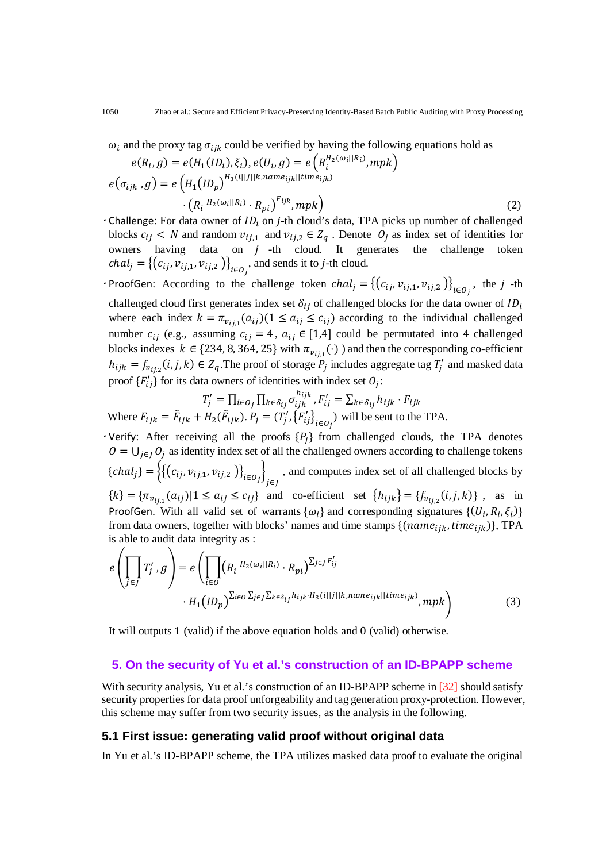$\omega_i$  and the proxy tag  $\sigma_{ijk}$  could be verified by having the following equations hold as

$$
e(R_i, g) = e(H_1(ID_i), \xi_i), e(U_i, g) = e\left(R_i^{H_2(\omega_i||R_i)}, mpk\right)
$$

$$
e(\sigma_{ijk}, g) = e\left(H_1(ID_p)^{H_3(i||j||k, name_{ijk}||time_{ijk})}\right)
$$

$$
\cdot \left(R_i^{H_2(\omega_i||R_i)} \cdot R_{pi}\right)^{F_{ijk}}, mpk\right)
$$
(2)

- $\cdot$  Challenge: For data owner of  $ID_i$  on *j*-th cloud's data, TPA picks up number of challenged blocks  $c_{ij}$  < N and random  $v_{ij,1}$  and  $v_{ij,2} \in Z_q$ . Denote  $O_j$  as index set of identities for owners having data on  $j$  -th cloud. It generates the challenge token  $chal_j = \{ (c_{ij}, v_{ij,1}, v_{ij,2} ) \}_{i \in O_j}$ , and sends it to j-th cloud.
- ProofGen: According to the challenge token  $chal_j = \{(c_{ij}, v_{ij,1}, v_{ij,2})\}_{i \in O_j}$ , the j -th challenged cloud first generates index set  $\delta_{ij}$  of challenged blocks for the data owner of  $ID_i$ where each index  $k = \pi_{v_{ij}}(a_{ij})(1 \le a_{ij} \le c_{ij})$  according to the individual challenged number  $c_{ij}$  (e.g., assuming  $c_{ij} = 4$ ,  $a_{ij} \in [1,4]$  could be permutated into 4 challenged blocks indexes  $k \in \{234, 8, 364, 25\}$  with  $\pi_{v_{i,i,1}}(\cdot)$  ) and then the corresponding co-efficient  $h_{ijk} = f_{\nu_{ij,2}}(i, j, k) \in Z_q$ . The proof of storage  $P_j$  includes aggregate tag  $T'_j$  and masked data proof  $\{F'_{ij}\}$  for its data owners of identities with index set  $O_j$ :

$$
T'_{j} = \prod_{i \in O_{j}} \prod_{k \in \delta_{ij}} \sigma_{ijk}^{h_{ijk}}, F'_{ij} = \sum_{k \in \delta_{ij}} h_{ijk} \cdot F_{ijk}
$$
  
Where  $F_{ijk} = \tilde{F}_{ijk} + H_{2}(\tilde{F}_{ijk}) \cdot P_{j} = (T'_{j}, \{F'_{ij}\}_{i \in O_{j}})$  will be sent to the TPA.

 $\cdot$  Verify: After receiving all the proofs  $\{P_j\}$  from challenged clouds, the TPA denotes  $O = \bigcup_{j \in I} O_j$  as identity index set of all the challenged owners according to challenge tokens  ${chal_j} = \{ {(c_{ij}, v_{ij,1}, v_{ij,2}) }\}_{i \in O_j}$ J∈J , and computes index set of all challenged blocks by  ${k} = {\pi_{v_{ij,1}}(a_{ij}) | 1 \le a_{ij} \le c_{ij}}$  and co-efficient set  ${h_{ijk}} = {f_{v_{ij,2}}(i,j,k)}$ , as in ProofGen. With all valid set of warrants  $\{\omega_i\}$  and corresponding signatures  $\{(U_i, R_i, \xi_i)\}$ from data owners, together with blocks' names and time stamps  $\{(name_{iik}, time_{iik})\}$ , TPA is able to audit data integrity as :

$$
e\left(\prod_{j\in J}T'_{j},g\right)=e\left(\prod_{i\in O}\left(R_{i}{}^{H_{2}(\omega_{i}||R_{i})}\cdot R_{pi}\right)^{\sum_{j\in J}F'_{ij}}\right)
$$

$$
\cdot H_{1}(ID_{p})^{\sum_{i\in O}\sum_{j\in J}\sum_{k\in\delta_{ij}}h_{ijk}\cdot H_{3}(i||j||k, name_{ijk}||time_{ijk})}, mpk\right)
$$
(3)

It will outputs 1 (valid) if the above equation holds and 0 (valid) otherwise.

#### **5. On the security of Yu et al.'s construction of an ID-BPAPP scheme**

With security analysis, Yu et al.'s construction of an ID-BPAPP scheme in [32] should satisfy security properties for data proof unforgeability and tag generation proxy-protection. However, this scheme may suffer from two security issues, as the analysis in the following.

# **5.1 First issue: generating valid proof without original data**

In Yu et al.'s ID-BPAPP scheme, the TPA utilizes masked data proof to evaluate the original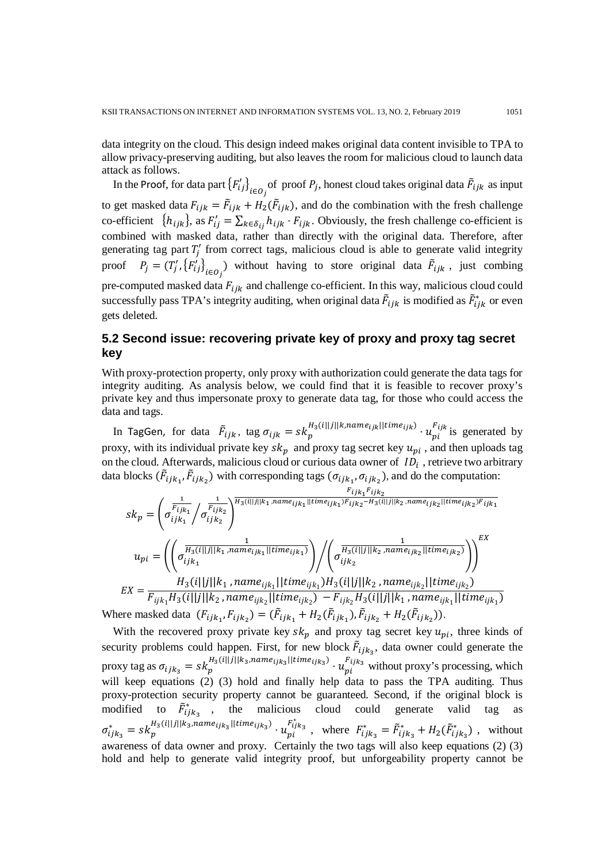data integrity on the cloud. This design indeed makes original data content invisible to TPA to allow privacy-preserving auditing, but also leaves the room for malicious cloud to launch data attack as follows.

In the Proof, for data part  $\{F'_{ij}\}_{i \in O_j}$  of proof  $P_j$ , honest cloud takes original data  $\tilde{F}_{ijk}$  as input to get masked data  $F_{ijk} = \tilde{F}_{ijk} + H_2(\tilde{F}_{ijk})$ , and do the combination with the fresh challenge co-efficient  $\{h_{ijk}\}\text{, as } F'_{ij} = \sum_{k \in \delta_{ij}} h_{ijk} \cdot F_{ijk}$ . Obviously, the fresh challenge co-efficient is combined with masked data, rather than directly with the original data. Therefore, after generating tag part  $T'_j$  from correct tags, malicious cloud is able to generate valid integrity proof  $P_j = (T'_j, \{F'_{ij}\}_{i \in O_j})$  without having to store original data  $\bar{F}_{ijk}$ , just combing pre-computed masked data  $F_{ijk}$  and challenge co-efficient. In this way, malicious cloud could successfully pass TPA's integrity auditing, when original data  $\tilde{F}_{ijk}$  is modified as  $\tilde{F}_{ijk}^*$  or even gets deleted.

# **5.2 Second issue: recovering private key of proxy and proxy tag secret key**

With proxy-protection property, only proxy with authorization could generate the data tags for integrity auditing. As analysis below, we could find that it is feasible to recover proxy's private key and thus impersonate proxy to generate data tag, for those who could access the data and tags.

In TagGen, for data  $\tilde{F}_{ijk}$ , tag  $\sigma_{ijk} = sk_p^{H_3(i||j||k, name_{ijk}||time_{ijk})} \cdot u_{pi}^{F_{ijk}}$  is generated by proxy, with its individual private key  $sk_p$  and proxy tag secret key  $u_{pi}$ , and then uploads tag on the cloud. Afterwards, malicious cloud or curious data owner of  $ID_i$ , retrieve two arbitrary data blocks  $(\vec{F}_{ijk_1}, \vec{F}_{ijk_2})$  with corresponding tags  $(\sigma_{ijk_1}, \sigma_{ijk_2})$ , and do the computation:

$$
sk_p = \left(\sigma_{ijk_1}^{\frac{1}{F_{ijk_1}}}\right) \sigma_{ijk_2}^{\frac{1}{F_{ijk_2}}}\right)^{H_3(i||j||k_1, name_{ijk_1}||time_{ijk_1})F_{ijk_2} - H_3(i||j||k_2, name_{ijk_2}||time_{ijk_2})F_{ijk_1}}
$$
\n
$$
u_{pi} = \left(\left(\sigma_{ijk_1}^{\frac{1}{H_3(i||j||k_1, name_{ijk_1}||time_{ijk_1})}}\right)\right) \left(\sigma_{ijk_2}^{\frac{1}{H_3(i||j||k_2, name_{ijk_2}||time_{ijk_2})}}\right)^{EX}
$$
\n
$$
EX = \frac{H_3(i||j||k_1, name_{ijk_1}||time_{ijk_1})H_3(i||j||k_2, name_{ijk_2}||time_{ijk_2})}{F_{ijk_1}H_3(i||j||k_2, name_{ijk_2}||time_{ijk_2}) - F_{ijk_2}H_3(i||j||k_1, name_{ijk_1}||time_{ijk_1})}
$$
\nare needed data (E E B) = (E + H (E) E + H (E))

Where masked data  $(F_{ijk_1}, F_{ijk_2}) = (\tilde{F}_{ijk_1} + H_2(\tilde{F}_{ijk_1}), \tilde{F}_{ijk_2} + H_2(\tilde{F}_{ijk_2}))$ .

With the recovered proxy private key  $s k_p$  and proxy tag secret key  $u_{pi}$ , three kinds of security problems could happen. First, for new block  $\vec{F}_{ijk_3}$ , data owner could generate the proxy tag as  $\sigma_{ijk_3} = sk_p^{H_3(l||j||k_3, name_{ijk_3}||time_{ijk_3})} \cdot u_{pi}^{Fijk_3}$  without proxy's processing, which will keep equations (2) (3) hold and finally help data to pass the TPA auditing. Thus proxy-protection security property cannot be guaranteed. Second, if the original block is modified to  $\tilde{F}_{ijk_3}^*$ , the malicious cloud could generate valid tag as  $\sigma_{ijk_3}^* = s k_p^{H_3(i||j||k_3, name_{ijk_3}||time_{ijk_3})} \cdot u_{pi}^{F_{ijk_3}^*}$ , where  $F_{ijk_3}^* = \tilde{F}_{ijk_3}^* + H_2(\tilde{F}_{ijk_3}^*)$ , without awareness of data owner and proxy. Certainly the two tags will also keep equations (2) (3) hold and help to generate valid integrity proof, but unforgeability property cannot be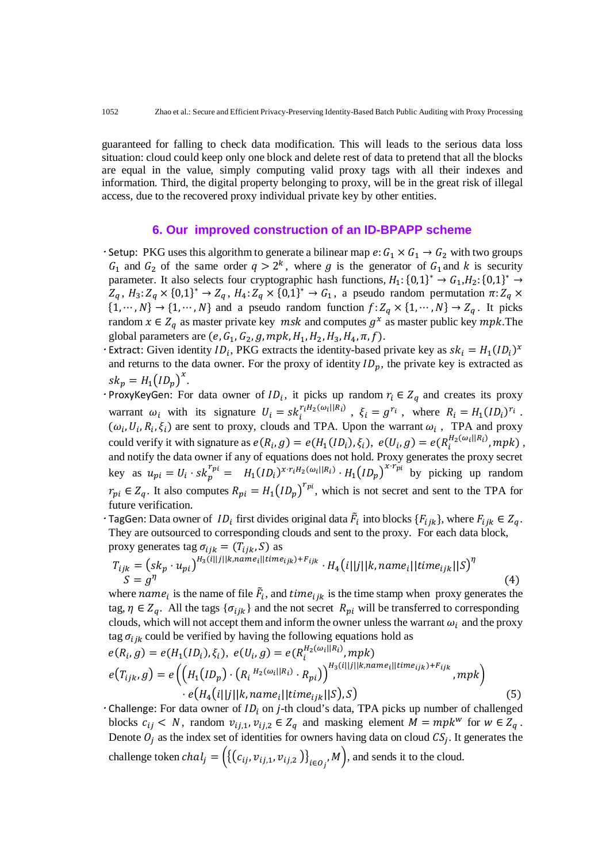guaranteed for falling to check data modification. This will leads to the serious data loss situation: cloud could keep only one block and delete rest of data to pretend that all the blocks are equal in the value, simply computing valid proxy tags with all their indexes and information. Third, the digital property belonging to proxy, will be in the great risk of illegal access, due to the recovered proxy individual private key by other entities.

#### **6. Our improved construction of an ID-BPAPP scheme**

- Setup: PKG uses this algorithm to generate a bilinear map  $e: G_1 \times G_1 \rightarrow G_2$  with two groups  $G_1$  and  $G_2$  of the same order  $q > 2^k$ , where g is the generator of  $G_1$  and k is security parameter. It also selects four cryptographic hash functions,  $H_1$ : {0,1}<sup>\*</sup> →  $G_1$ ,  $H_2$ : {0,1}<sup>\*</sup> →  $Z_q$ ,  $H_3$ :  $Z_q \times \{0,1\}^* \to Z_q$ ,  $H_4$ :  $Z_q \times \{0,1\}^* \to G_1$ , a pseudo random permutation  $\pi$ :  $Z_q \times$  $\{1, \dots, N\} \rightarrow \{1, \dots, N\}$  and a pseudo random function  $f: Z_a \times \{1, \dots, N\} \rightarrow Z_a$ . It picks random  $x \in Z_q$  as master private key  $msk$  and computes  $g^x$  as master public key  $mpk$ . The global parameters are  $(e, G_1, G_2, g, mpk, H_1, H_2, H_3, H_4, \pi, f)$ .
- Extract: Given identity  $ID_i$ , PKG extracts the identity-based private key as  $sk_i = H_1(ID_i)^x$ and returns to the data owner. For the proxy of identity  $ID_p$ , the private key is extracted as  $sk_p = H_1 (ID_p)^x$ .
- ProxyKeyGen: For data owner of  $ID_i$ , it picks up random  $r_i \in Z_q$  and creates its proxy warrant  $\omega_i$  with its signature  $U_i = s k_i^{r_i H_2(\omega_i||R_i)}$ ,  $\xi_i = g^{r_i}$ , where  $R_i = H_1(I D_i)^{r_i}$ .  $(\omega_i, U_i, R_i, \xi_i)$  are sent to proxy, clouds and TPA. Upon the warrant  $\omega_i$ , TPA and proxy could verify it with signature as  $e(R_i, g) = e(H_1(ID_i), \xi_i), e(U_i, g) = e(R_i^{H_2(\omega_i||R_i)}, mpk)$ , and notify the data owner if any of equations does not hold. Proxy generates the proxy secret key as  $u_{pi} = U_i \cdot sk_p^{r_{pi}} = H_1(ID_i)^{x \cdot r_i H_2(\omega_i || R_i)} \cdot H_1(ID_p)^{x \cdot r_{pi}}$  by picking up random  $r_{pi} \in Z_q$ . It also computes  $R_{pi} = H_1 (ID_p)^{r_{pi}}$ , which is not secret and sent to the TPA for future verification.
- TagGen: Data owner of  $ID_i$  first divides original data  $\tilde{F}_i$  into blocks  $\{F_{ijk}\}\$ , where  $F_{ijk} \in Z_q$ . They are outsourced to corresponding clouds and sent to the proxy. For each data block, proxy generates tag  $\sigma_{ijk} = (T_{ijk}, S)$  as

$$
T_{ijk} = (sk_p \cdot u_{pi})^{H_3(i||j||k, name_i||time_{ijk}) + F_{ijk}} \cdot H_4(i||j||k, name_i||time_{ijk}||S)^{\eta}
$$
  
\n
$$
S = g^{\eta}
$$
\n(4)

where  $name_i$  is the name of file  $\vec{F}_i$ , and  $time_{ijk}$  is the time stamp when proxy generates the tag,  $\eta \in Z_q$ . All the tags  $\{\sigma_{ijk}\}\$  and the not secret  $R_{pi}$  will be transferred to corresponding clouds, which will not accept them and inform the owner unless the warrant  $\omega_i$  and the proxy tag  $\sigma_{ijk}$  could be verified by having the following equations hold as

$$
e(R_i, g) = e(H_1(ID_i), \xi_i), e(U_i, g) = e(R_i^{H_2(\omega_i||R_i)}, mpk)
$$
  
\n
$$
e(T_{ijk}, g) = e\left(\left(H_1(ID_p) \cdot (R_i^{H_2(\omega_i||R_i)} \cdot R_{pi})\right)^{H_3(i||j||k, name_i||time_{ijk}) + F_{ijk}}, mpk\right)
$$
  
\n
$$
\cdot e(H_4(i||j||k, name_i||time_{ijk}||S), S)
$$
\n(5)

 $\cdot$  Challenge: For data owner of  $ID_i$  on *j*-th cloud's data, TPA picks up number of challenged blocks  $c_{ij} < N$ , random  $v_{ij,1}, v_{ij,2} \in Z_q$  and masking element  $M = mpk^w$  for  $w \in Z_q$ . Denote  $O_i$  as the index set of identities for owners having data on cloud  $CS_i$ . It generates the challenge token  $chal_j = \left( \left\{ (c_{ij}, v_{ij,1}, v_{ij,2} ) \right\}_{i \in O_j}, M \right)$ , and sends it to the cloud.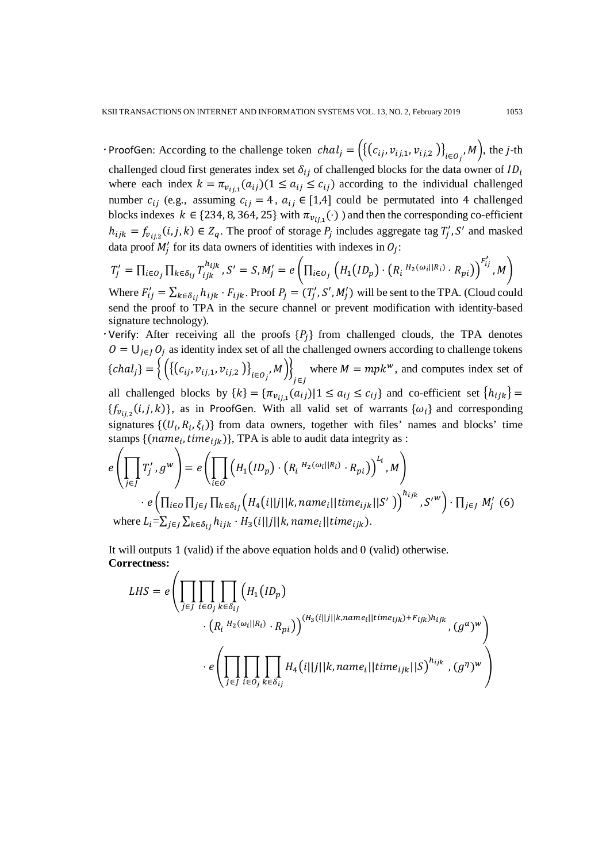ProofGen: According to the challenge token  $chal_j = (\{(c_{ij}, v_{ij,1}, v_{ij,2})\}_{i \in O_j}, M)$ , the *j*-th challenged cloud first generates index set  $\delta_{ij}$  of challenged blocks for the data owner of  $ID_i$ where each index  $k = \pi_{v_{ij}}(a_{ij})(1 \le a_{ij} \le c_{ij})$  according to the individual challenged number  $c_{ij}$  (e.g., assuming  $c_{ij} = 4$ ,  $a_{ij} \in [1,4]$  could be permutated into 4 challenged blocks indexes  $k \in \{234, 8, 364, 25\}$  with  $\pi_{v_{i,j,1}}(\cdot)$  ) and then the corresponding co-efficient  $h_{ijk} = f_{\nu_{ij,2}}(i, j, k) \in Z_q$ . The proof of storage  $P_j$  includes aggregate tag  $T'_j$ , S' and masked data proof  $M'_j$  for its data owners of identities with indexes in  $O_j$ :

$$
T'_j = \prod_{i \in O_j} \prod_{k \in \delta_{ij}} T_{ijk}^{h_{ijk}}, S' = S, M'_j = e \left( \prod_{i \in O_j} \left( H_1 (ID_p) \cdot \left( R_i^{H_2(\omega_i||R_i)} \cdot R_{pi} \right) \right)^{F'_{ij}}, M \right)
$$

Where  $F'_{ij} = \sum_{k \in \delta_{ij}} h_{ijk} \cdot F_{ijk}$ . Proof  $P_j = (T'_j, S', M'_j)$  will be sent to the TPA. (Cloud could send the proof to TPA in the secure channel or prevent modification with identity-based signature technology).

Verify: After receiving all the proofs  ${P_j}$  from challenged clouds, the TPA denotes  $O = \bigcup_{i \in I} O_i$  as identity index set of all the challenged owners according to challenge tokens  ${ \} = \left\{ \left( \{ (c_{ij}, v_{ij,1}, v_{ij,2} ) \}_{i \in O_j}, M \right) \right\}$ j∈J where  $M = mpk^w$ , and computes index set of all challenged blocks by  $\{k\} = {\pi_{v_{ij,1}}(a_{ij}) | 1 \le a_{ij} \le c_{ij}\}\$  and co-efficient set  $\{h_{ijk}\}$ 

 ${f_{v_{ij}}(i,j,k)}$ , as in ProofGen. With all valid set of warrants  ${\omega_i}$  and corresponding signatures  $\{(U_i, R_i, \xi_i)\}\$  from data owners, together with files' names and blocks' time stamps  $\{(name_i, time_{iik})\}$ , TPA is able to audit data integrity as :

$$
e\left(\prod_{j\in J} T'_j, g^w\right) = e\left(\prod_{i\in O} \left(H_1(ID_p) \cdot \left(R_i{}^{H_2(\omega_i||R_i)} \cdot R_{pi}\right)\right)^{L_i}, M\right)
$$

$$
\cdot e\left(\prod_{i\in O} \prod_{j\in J} \prod_{k\in \delta_{ij}} \left(H_4(i||j||k, name_i||time_{ijk}||S')\right)^{h_{ijk}}, S'^w\right) \cdot \prod_{j\in J} M'_j \tag{6}
$$
  
where  $L_i = \sum_{j\in J} \sum_{k\in \delta_{ij}} h_{ijk} \cdot H_3(i||j||k, name_i||time_{ijk}).$ 

It will outputs 1 (valid) if the above equation holds and 0 (valid) otherwise. **Correctness:**

$$
LHS = e \left( \prod_{j \in J} \prod_{i \in O_j} \prod_{k \in \delta_{ij}} \left( H_1(ID_p) \cdot R_{pi}(I|I) \right) \cdot \left( R_i^{H_2(\omega_i||R_i)} \cdot R_{pi}(I) \right)^{(H_3(i||j||k, name_i||time_{ijk}) + F_{ijk})h_{ijk}}, (g^a)^w \right)
$$

$$
\cdot e \left( \prod_{j \in J} \prod_{i \in O_j} \prod_{k \in \delta_{ij}} H_4(i||j||k, name_i||time_{ijk}||S)^{h_{ijk}}, (g^{\eta})^w \right)
$$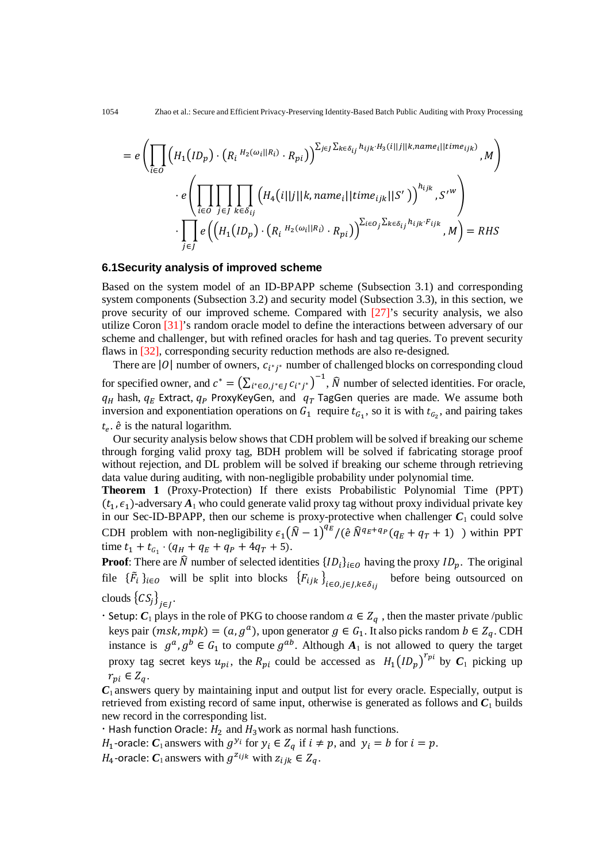$$
= e \left( \prod_{i \in O} \left( H_1(ID_p) \cdot \left( R_i \, {}^{H_2(\omega_i||R_i)} \cdot R_{pi} \right) \right)^{\sum_{j \in J} \sum_{k \in \delta_{ij}} h_{ijk} \cdot H_3(i||j||k, name_i||time_{ijk})}, M \right) \cdot e \left( \prod_{i \in O} \prod_{j \in J} \prod_{k \in \delta_{ij}} \left( H_4(i||j||k, name_i||time_{ijk}||S') \right)^{h_{ijk}}, S'^w \right) \cdot \prod_{j \in J} e \left( \left( H_1(ID_p) \cdot \left( R_i \, {}^{H_2(\omega_i||R_i)} \cdot R_{pi} \right) \right)^{\sum_{i \in O} \sum_{k \in \delta_{ij}} h_{ijk} \cdot F_{ijk}}, M \right) = RHS
$$

#### **6.1Security analysis of improved scheme**

Based on the system model of an ID-BPAPP scheme (Subsection 3.1) and corresponding system components (Subsection 3.2) and security model (Subsection 3.3), in this section, we prove security of our improved scheme. Compared with [27]'s security analysis, we also utilize Coron [31]'s random oracle model to define the interactions between adversary of our scheme and challenger, but with refined oracles for hash and tag queries. To prevent security flaws in [32], corresponding security reduction methods are also re-designed.

There are |0| number of owners,  $c_{i^*i^*}$  number of challenged blocks on corresponding cloud for specified owner, and  $c^* = (\sum_{i^* \in O, j^* \in J} c_{i^*j^*})^{-1}$ ,  $\widehat{N}$  number of selected identities. For oracle,  $q_H$  hash,  $q_E$  Extract,  $q_P$  ProxyKeyGen, and  $q_T$  TagGen queries are made. We assume both inversion and exponentiation operations on  $G_1$  require  $t_{G_1}$ , so it is with  $t_{G_2}$ , and pairing takes  $t_e$ .  $\hat{e}$  is the natural logarithm.

Our security analysis below shows that CDH problem will be solved if breaking our scheme through forging valid proxy tag, BDH problem will be solved if fabricating storage proof without rejection, and DL problem will be solved if breaking our scheme through retrieving data value during auditing, with non-negligible probability under polynomial time.

**Theorem 1** (Proxy-Protection) If there exists Probabilistic Polynomial Time (PPT)  $(t_1, \epsilon_1)$ -adversary  $A_1$  who could generate valid proxy tag without proxy individual private key in our Sec-ID-BPAPP, then our scheme is proxy-protective when challenger  $C_1$  could solve CDH problem with non-negligibility  $\epsilon_1 (\hat{N} - 1)^{q_E}/(\hat{e} \hat{N}^{q_E + q_P}(q_E + q_T + 1))$  within PPT time  $t_1 + t_{G_1} \cdot (q_H + q_E + q_P + 4q_T + 5)$ .

**Proof:** There are  $\hat{N}$  number of selected identities  ${ID_i}_{i \in O}$  having the proxy  $ID_p$ . The original file  $\{\bar{F}_i\}_{i \in O}$  will be split into blocks  $\{F_{ijk}\}_{i \in O, j \in J, k \in \delta_{ij}}$ before being outsourced on clouds  $\{CS_j\}_{j\in J}$ .

 $\cdot$  Setup:  $C_1$  plays in the role of PKG to choose random  $a \in Z_q$ , then the master private /public keys pair  $(msk, mpk) = (a, g<sup>a</sup>)$ , upon generator  $g \in G<sub>1</sub>$ . It also picks random  $b \in Z<sub>q</sub>$ . CDH instance is  $g^a$ ,  $g^b \in G_1$  to compute  $g^{ab}$ . Although  $A_1$  is not allowed to query the target proxy tag secret keys  $u_{pi}$ , the  $R_{pi}$  could be accessed as  $H_1 (ID_p)^{r_{pi}}$  by  $C_1$  picking up  $r_{ni} \in Z_a$ .

 $C_1$  answers query by maintaining input and output list for every oracle. Especially, output is retrieved from existing record of same input, otherwise is generated as follows and  $C_1$  builds new record in the corresponding list.

 $\cdot$  Hash function Oracle:  $H_2$  and  $H_3$  work as normal hash functions.

 $H_1$ -oracle:  $C_1$  answers with  $g^{y_i}$  for  $y_i \in Z_q$  if  $i \neq p$ , and  $y_i = b$  for  $i = p$ .  $H_4$ -oracle:  $C_1$  answers with  $g^{z_{ijk}}$  with  $z_{ijk} \in Z_q$ .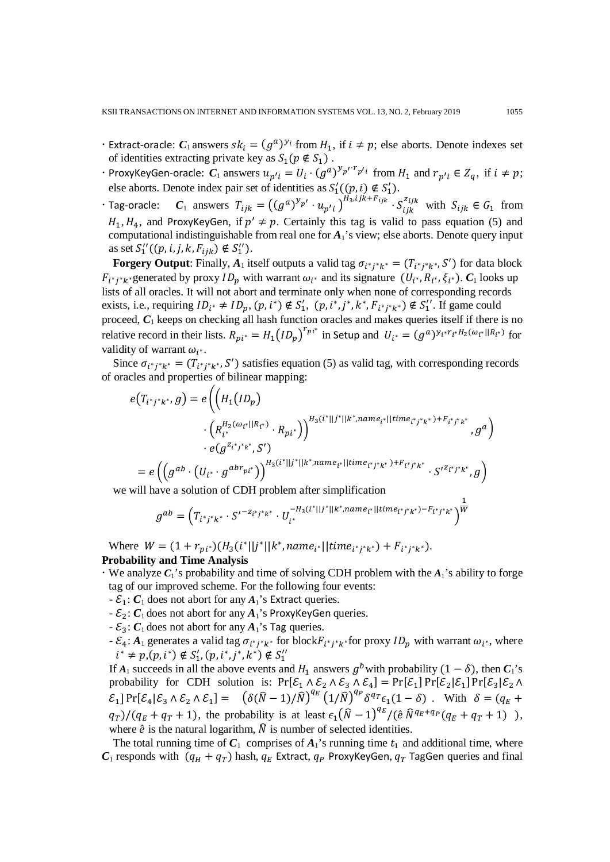- Extract-oracle:  $C_1$  answers  $sk_i = (g^a)^{y_i}$  from  $H_1$ , if  $i \neq p$ ; else aborts. Denote indexes set of identities extracting private key as  $S_1(p \notin S_1)$ .
- ProxyKeyGen-oracle:  $C_1$  answers  $u_{p'i} = U_i \cdot (g^a)^{y_{p'} \cdot r_{p'i}}$  from  $H_1$  and  $r_{p'i} \in Z_q$ , if  $i \neq p$ ; else aborts. Denote index pair set of identities as  $S'_1((p, i) \notin S'_1)$ .
- $\cdot$  Tag-oracle:  $C_1$  answers  $T_{ijk} = ((g^a)^{y_{p'}} \cdot u_{p'i})^{H_3, ljk + F_{ijk}} \cdot S_{ijk}^{z_{ijk}}$  with  $S_{ijk} \in G_1$  from  $H_1, H_4$ , and ProxyKeyGen, if  $p' \neq p$ . Certainly this tag is valid to pass equation (5) and computational indistinguishable from real one for *A*1's view; else aborts. Denote query input as set  $S_1''((p, i, j, k, F_{ijk}) \notin S_1'').$

**Forgery Output**: Finally,  $A_1$  itself outputs a valid tag  $\sigma_{i^*j^*k^*} = (T_{i^*j^*k^*}, S')$  for data block  $F_{i^*i^*k^*}$ generated by proxy  $ID_p$  with warrant  $\omega_{i^*}$  and its signature  $(U_{i^*}, R_{i^*}, \xi_{i^*})$ .  $C_1$  looks up lists of all oracles. It will not abort and terminate only when none of corresponding records exists, i.e., requiring  $ID_{i^*} \neq ID_p$ ,  $(p, i^*) \notin S'_1$ ,  $(p, i^*, j^*, k^*, F_{i^*j^*k^*}) \notin S''_1$ . If game could proceed, *C*<sup>1</sup> keeps on checking all hash function oracles and makes queries itself if there is no relative record in their lists.  $R_{pi^*} = H_1 (ID_p)^{r_{pi^*}}$  in Setup and  $U_{i^*} = (g^a)^{y_{i^*}r_{i^*}H_2(\omega_{i^*}||R_{i^*})}$  for validity of warrant  $\omega_{i^*}$ .

Since  $\sigma_{i^*j^*k^*} = (T_{i^*j^*k^*}, S')$  satisfies equation (5) as valid tag, with corresponding records of oracles and properties of bilinear mapping:

$$
e(T_{i^*j^*k^*}, g) = e\left(\left(H_1(ID_p) \right)
$$

$$
\cdot \left(R_{i^*}^{H_2(\omega_{i^*}||R_{i^*})} \cdot R_{pi^*}\right)\right)^{H_3(i^*||j^*||k^*, name_{i^*}||time_{i^*j^*k^*}) + F_{i^*j^*k^*}} , g^a\right)
$$

$$
\cdot e(g^{Z_{i^*j^*k^*}}, S')
$$

$$
= e\left(\left(g^{ab} \cdot \left(U_{i^*} \cdot g^{abr_{pi^*}}\right)\right)^{H_3(i^*||j^*||k^*, name_{i^*}||time_{i^*j^*k^*}) + F_{i^*j^*k^*}} \cdot S'^{Z_{i^*j^*k^*}}, g\right)
$$

we will have a solution of CDH problem after simplification

$$
g^{ab} = \left(T_{i^*j^*k^*} \cdot S'^{-z_{i^*j^*k^*}} \cdot U_{i^*}^{-H_3(i^*||j^*||k^*, name_{i^*||time_{i^*j^*k^*}}) - F_{i^*j^*k^*}}\right)^{\frac{1}{W}}
$$

Where  $W = (1 + r_{pi^*})(H_3(i^*||j^*||k^*, name_{i^*}||time_{i^*j^*k^*}) + F_{i^*j^*k^*}).$ **Probability and Time Analysis**

We analyze  $C_1$ 's probability and time of solving CDH problem with the  $A_1$ 's ability to forge tag of our improved scheme. For the following four events:

- $-\varepsilon_1$ :  $C_1$  does not abort for any  $A_1$ 's Extract queries.
- $-\mathcal{E}_2$ :  $C_1$  does not abort for any  $A_1$ 's ProxyKeyGen queries.
- $\mathcal{E}_3$ :  $C_1$  does not abort for any  $A_1$ 's Tag queries.
- $\mathcal{E}_4$ :  $A_1$  generates a valid tag  $\sigma_{i^*j^*k^*}$  for block $F_{i^*j^*k^*}$  for proxy  $ID_p$  with warrant  $\omega_{i^*}$ , where  $i^* \neq p, (p, i^*) \notin S'_1, (p, i^*, j^*, k^*) \notin S''_1$

If *A*<sub>1</sub> succeeds in all the above events and  $H_1$  answers  $g^b$  with probability  $(1 - \delta)$ , then  $C_1$ 's probability for CDH solution is:  $Pr[\mathcal{E}_1 \wedge \mathcal{E}_2 \wedge \mathcal{E}_3 \wedge \mathcal{E}_4] = Pr[\mathcal{E}_1] Pr[\mathcal{E}_2 | \mathcal{E}_1] Pr[\mathcal{E}_3 | \mathcal{E}_2 \wedge \mathcal{E}_3]$  $\mathcal{E}_1$ ] Pr[ $\mathcal{E}_4 | \mathcal{E}_3 \wedge \mathcal{E}_2 \wedge \mathcal{E}_1$ ] =  $\left( \delta(\hat{N} - 1)/\hat{N} \right)^{q_E} \left( 1/\hat{N} \right)^{q_P} \delta^{q_T} \epsilon_1 (1 - \delta)$ . With  $\delta = (q_E +$  $(q_T)/(q_E + q_T + 1)$ , the probability is at least  $\epsilon_1 (\hat{N} - 1)^{q_E}/(\hat{e} \hat{N}^{q_E + q_P}(q_E + q_T + 1) )$ , where  $\hat{e}$  is the natural logarithm,  $\hat{N}$  is number of selected identities.

The total running time of  $C_1$  comprises of  $A_1$ 's running time  $t_1$  and additional time, where  $C_1$  responds with  $(q_H + q_T)$  hash,  $q_F$  Extract,  $q_P$  ProxyKeyGen,  $q_T$  TagGen queries and final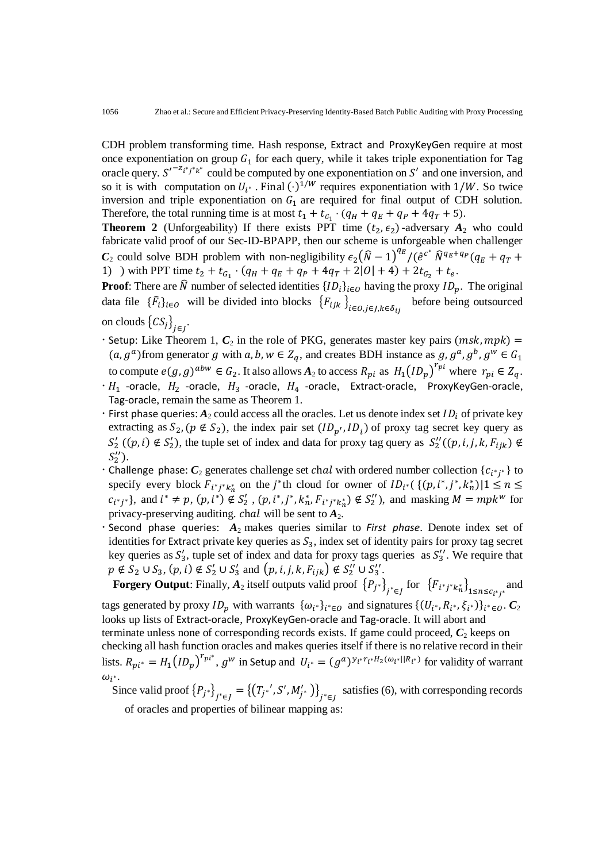CDH problem transforming time. Hash response, Extract and ProxyKeyGen require at most once exponentiation on group  $G_1$  for each query, while it takes triple exponentiation for Tag oracle query.  $S^{r-2}i^*j^*k^*$  could be computed by one exponentiation on S' and one inversion, and so it is with computation on  $U_{i^*}$ . Final  $(\cdot)^{1/W}$  requires exponentiation with 1/W. So twice inversion and triple exponentiation on  $G_1$  are required for final output of CDH solution. Therefore, the total running time is at most  $t_1 + t_{G_1} \cdot (q_H + q_E + q_P + 4q_T + 5)$ .

**Theorem 2** (Unforgeability) If there exists PPT time  $(t_2, \epsilon_2)$ -adversary  $A_2$  who could fabricate valid proof of our Sec-ID-BPAPP, then our scheme is unforgeable when challenger *C*<sub>2</sub> could solve BDH problem with non-negligibility  $\epsilon_2 (\hat{N} - 1)^{q_E}/(\hat{e}^{c^*} \hat{N}^{q_E+q_P}(q_E+q_T+$ 1) ) with PPT time  $t_2 + t_{G_1} \cdot (q_H + q_E + q_P + 4q_T + 2|0| + 4) + 2t_{G_2} + t_e$ .

**Proof:** There are  $\hat{N}$  number of selected identities  ${ID_i}_{i \in O}$  having the proxy  $ID_p$ . The original data file  $\{\bar{F}_i\}_{i \in O}$  will be divided into blocks  $\{F_{ijk}\}_{i \in O, j \in J, k \in \delta_{ij}}$ before being outsourced on clouds  $\{CS_j\}_{j\in J}$ .

- Setup: Like Theorem 1,  $C_2$  in the role of PKG, generates master key pairs (msk, mpk) =  $(a, g^a)$  from generator g with  $a, b, w \in Z_a$ , and creates BDH instance as  $g, g^a, g^b, g^w \in G_1$ to compute  $e(g, g)^{abw} \in G_2$ . It also allows  $A_2$  to access  $R_{pi}$  as  $H_1 (ID_p)^{r_{pi}}$  where  $r_{pi} \in Z_q$ .
- $\cdot H_1$  -oracle,  $H_2$  -oracle,  $H_3$  -oracle,  $H_4$  -oracle, Extract-oracle, ProxyKeyGen-oracle, Tag-oracle, remain the same as Theorem 1.
- First phase queries:  $A_2$  could access all the oracles. Let us denote index set  $ID_i$  of private key extracting as  $S_2$ ,  $(p \notin S_2)$ , the index pair set  $(ID_{p'}, ID_i)$  of proxy tag secret key query as  $S'_2$  ((p, i)  $\notin S'_2$ ), the tuple set of index and data for proxy tag query as  $S'_2$  ((p, i, j, k,  $F_{ijk}$ )  $\notin$  $S_2'$ ).
- Challenge phase:  $C_2$  generates challenge set chal with ordered number collection  $\{c_{i^*j^*}\}\$  to specify every block  $F_{i^*j^*k_n^*}$  on the j<sup>\*</sup>th cloud for owner of  $ID_{i^*}(\{(p, i^*, j^*, k_n^*) | 1 \le n \le n\})$  $c_{i^*j^*}$ }, and  $i^* \neq p$ ,  $(p, i^*) \notin S'_2$ ,  $(p, i^*, j^*, k_n^*, F_{i^*j^*k_n^*}) \notin S''_2$ , and masking  $M = mpk^w$  for privacy-preserving auditing. chal will be sent to  $A_2$ .
- Second phase queries: *A*2 makes queries similar to *First phase*. Denote index set of identities for Extract private key queries as  $S_3$ , index set of identity pairs for proxy tag secret key queries as  $S'_3$ , tuple set of index and data for proxy tags queries as  $S''_3$ . We require that  $p \notin S_2 \cup S_3$ ,  $(p, i) \notin S_2' \cup S_3'$  and  $(p, i, j, k, F_{ijk}) \notin S_2'' \cup S_3''$ .

**Forgery Output**: Finally,  $A_2$  itself outputs valid proof  $\{P_{j^*}\}_{j^*\in J}$  for  $\{F_{i^*j^*k_n^*}\}_{1\leq n\leq c_{i^*j^*}}$ and tags generated by proxy  $ID_p$  with warrants  $\{\omega_{i^*}\}_{i^* \in O}$  and signatures  $\{(U_{i^*}, R_{i^*}, \xi_{i^*})\}_{i^* \in O}$ .  $C_2$ looks up lists of Extract-oracle, ProxyKeyGen-oracle and Tag-oracle. It will abort and terminate unless none of corresponding records exists. If game could proceed,  $C_2$  keeps on checking all hash function oracles and makes queries itself if there is no relative record in their lists.  $R_{pi^*} = H_1 (ID_p)^{r_{pi^*}}$ ,  $g^w$  in Setup and  $U_{i^*} = (g^a)^{y_{i^*}r_{i^*}H_2(\omega_{i^*}||R_{i^*})}$  for validity of warrant  $\omega_{i^*}$ .

Since valid proof  ${P_{j}}^{*}$ <sub> $j^{*} \in J$ </sub> =  ${ (T_{j}}^{*'}, S', M'_{j})$ <sub> $j^{*} \in J$ </sub> satisfies (6), with corresponding records of oracles and properties of bilinear mapping as: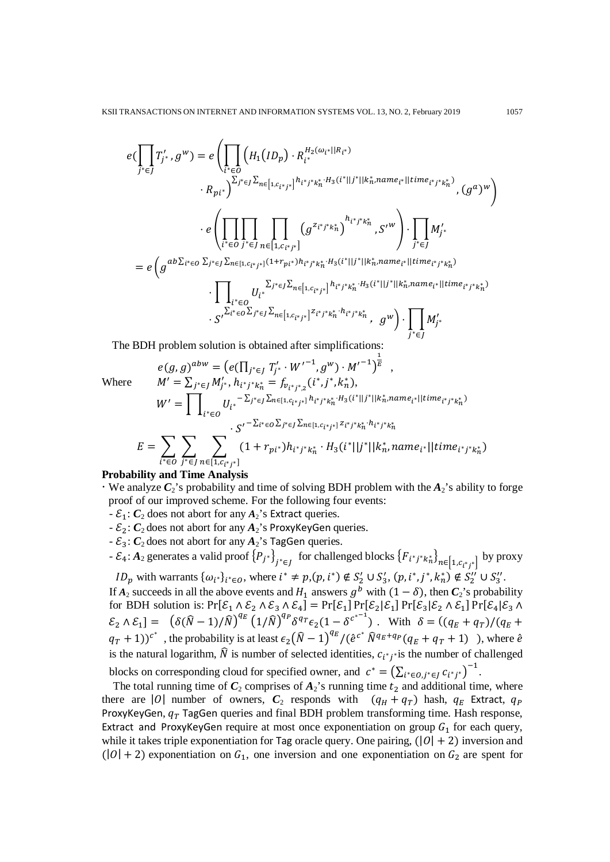$$
e(\prod_{j^* \in J} T'_j, g^w) = e\left(\prod_{i^* \in O} \left(H_1(ID_p) \cdot R_{i^*}^{H_2(\omega_{i^*} || R_{i^*})}\right.\right.\left. R_{pi^*}\right)^{\sum_{j^* \in J} \sum_{n \in [1, c_{i^*j^*}]} h_{i^*j^*k_n^*} \cdot H_3(i^*||j^*||k_n^*name_{i^*}||time_{i^*j^*k_n^*})}(g^a)^w\right)\cdot e\left(\prod_{i^* \in O} \prod_{j^* \in J} \prod_{n \in [1, c_{i^*j^*}]} \left(g^{z_{i^*j^*k_n^*}}\right)^{h_{i^*j^*k_n^*}} , S'^w\right) \cdot \prod_{j^* \in J} M'_{j^*}
$$
\n
$$
= e\left(g^{ab\sum_{i^* \in O} \sum_{j^* \in J} \sum_{n \in [1, c_{i^*j^*}]} (1 + r_{pi^*})h_{i^*j^*k_n^*} \cdot H_3(i^*||j^*||k_n^*name_{i^*}||time_{i^*j^*k_n^*})}\right.\cdot \prod_{i^* \in O} U_{i^*}^{\sum_{i^* \in O} \sum_{n \in [1, c_{i^*j^*}]} h_{i^*j^*k_n^*} \cdot H_3(i^*||j^*||k_n^*name_{i^*}||time_{i^*j^*k_n^*})}
$$
\n
$$
\cdot S'^{\sum_{i^* \in O} \sum_{j^* \in J} \sum_{n \in [1, c_{i^*j^*}]} z_{i^*j^*k_n^*} \cdot g^w\right) \cdot \prod_{j^* \in J} M'_{j^*}
$$

The BDH problem solution is obtained after simplifications:

$$
e(g,g)^{abw} = (e(\prod_{j^* \in J} T'_{j^*} \cdot W'^{-1}, g^w) \cdot M'^{-1})^{\frac{1}{E}} ,
$$
  
\nWhere 
$$
M' = \sum_{j^* \in J} M'_{j^*}, h_{i^*j^*k_n^*} = f_{v_{i^*j^*,2}}(i^*, j^*, k_n^*),
$$

$$
W' = \prod_{i^* \in O} U_{i^*} - \sum_{j^* \in J} \sum_{n \in [1, c_{i^*j^*}]} h_{i^*j^*k_n^*} H_3(i^*||j^*||k_n^* , name_{i^*}||time_{i^*j^*k_n^*})
$$

$$
E = \sum_{i^* \in O} \sum_{j^* \in J} \sum_{n \in [1, c_{i^*j^*}]} (1 + r_{pi^*})h_{i^*j^*k_n^*} \cdot H_3(i^*||j^*||k_n^*, name_{i^*}||time_{i^*j^*k_n^*})
$$

#### **Probability and Time Analysis**

- $\cdot$  We analyze  $C_2$ 's probability and time of solving BDH problem with the  $A_2$ 's ability to forge proof of our improved scheme. For the following four events:
	- $-\mathcal{E}_1$ :  $C_2$  does not abort for any  $A_2$ 's Extract queries.
	- $\mathcal{E}_2$ :  $C_2$  does not abort for any  $A_2$ 's ProxyKeyGen queries.
	- $\mathcal{E}_3$ :  $C_2$  does not abort for any  $A_2$ 's TagGen queries.

- 
$$
\mathcal{E}_4
$$
:  $A_2$  generates a valid proof  $\{P_{j^*}\}_{j^* \in J}$  for challenged blocks  $\{F_{i^*j^*k_n^*}\}_{n \in [1, c_{i^*j^*}]}$  by proxy

*ID*<sub>p</sub> with warrants  $\{\omega_{i^*}\}_{i^* \in O}$ , where  $i^* \neq p$ , $(p, i^*) \notin S'_2 \cup S'_3$ ,  $(p, i^*, j^*, k_n^*) \notin S''_2 \cup S''_3$ . If  $A_2$  succeeds in all the above events and  $H_1$  answers  $g^b$  with  $(1 - \delta)$ , then  $C_2$ 's probability for BDH solution is:  $Pr[\mathcal{E}_1 \wedge \mathcal{E}_2 \wedge \mathcal{E}_3 \wedge \mathcal{E}_4] = Pr[\mathcal{E}_1] Pr[\mathcal{E}_2 | \mathcal{E}_1] Pr[\mathcal{E}_3 | \mathcal{E}_2 \wedge \mathcal{E}_1] Pr[\mathcal{E}_4 | \mathcal{E}_3 \wedge \mathcal{E}_2]$  $\mathcal{E}_2 \wedge \mathcal{E}_1 = (\delta(\hat{N} - 1)/\hat{N})^{q_E} (1/\hat{N})^{q_P} \delta^{q_T} \epsilon_2 (1 - \delta^{c^{*-1}})$ . With  $\delta = ((q_E + q_T)/(q_E + q_T))^{q_E}$  $(q_T + 1)$ )<sup>c\*</sup>, the probability is at least  $\epsilon_2(\hat{N} - 1)^{q_E}/(\hat{e}^{c^*}\hat{N}^{q_E+q_P}(q_E+q_T+1))$ , where  $\hat{e}$ is the natural logarithm,  $\hat{N}$  is number of selected identities,  $c_{i^*j^*}$  is the number of challenged blocks on corresponding cloud for specified owner, and  $c^* = (\sum_{i^* \in O, j^* \in J} c_{i^*j^*})^{-1}$ .

The total running time of  $C_2$  comprises of  $A_2$ 's running time  $t_2$  and additional time, where there are |O| number of owners,  $C_2$  responds with  $(q_H + q_T)$  hash,  $q_E$  Extract,  $q_P$ ProxyKeyGen,  $q_T$  TagGen queries and final BDH problem transforming time. Hash response, Extract and ProxyKeyGen require at most once exponentiation on group  $G_1$  for each query, while it takes triple exponentiation for Tag oracle query. One pairing,  $(|0| + 2)$  inversion and  $(|0| + 2)$  exponentiation on  $G_1$ , one inversion and one exponentiation on  $G_2$  are spent for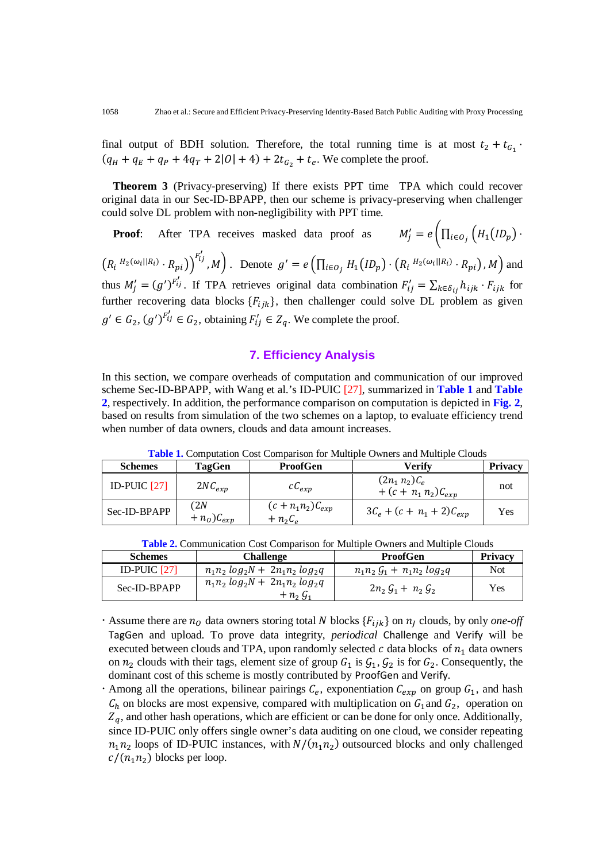final output of BDH solution. Therefore, the total running time is at most  $t_2 + t_{G_1}$ .  $(q_H + q_E + q_P + 4q_T + 2|0| + 4) + 2t_{G_2} + t_e$ . We complete the proof.

**Theorem 3** (Privacy-preserving) If there exists PPT time TPA which could recover original data in our Sec-ID-BPAPP, then our scheme is privacy-preserving when challenger could solve DL problem with non-negligibility with PPT time.

**Proof**: After TPA receives masked data proof as  $M'_j = e \bigg( \prod_{i \in O_j} \left( H_1 (ID_p) \right) \cdot$  $\left(R_i^{-H_2(\omega_i||R_i)} \cdot R_{pi}\right)^{F'_{ij}}$ , *M*). Denote  $g' = e\left(\prod_{i \in O_j} H_1(ID_p) \cdot (R_i \cdot H_2(\omega_i || R_i) \cdot R_{pi}), M\right)$  and thus  $M'_j = (g')^{F'_{ij}}$ . If TPA retrieves original data combination  $F'_{ij} = \sum_{k \in \delta_{ij}} h_{ijk} \cdot F_{ijk}$  for further recovering data blocks  ${F_{ijk}}$ , then challenger could solve DL problem as given  $g' \in G_2$ ,  $(g')^{F'_{ij}} \in G_2$ , obtaining  $F'_{ij} \in Z_q$ . We complete the proof.

# **7. Efficiency Analysis**

In this section, we compare overheads of computation and communication of our improved scheme Sec-ID-BPAPP, with Wang et al.'s ID-PUIC [27], summarized in **Table 1** and **Table 2**, respectively. In addition, the performance comparison on computation is depicted in **Fig. 2**, based on results from simulation of the two schemes on a laptop, to evaluate efficiency trend when number of data owners, clouds and data amount increases.

| <b>Schemes</b> | TagGen                | <b>ProofGen</b>                        | Verify                                      | <b>Privacy</b> |
|----------------|-----------------------|----------------------------------------|---------------------------------------------|----------------|
| ID-PUIC $[27]$ | $2NC_{exp}$           | $cC_{exp}$                             | $(2n_1 n_2)C_e$<br>+ $(c + n_1 n_2)C_{exp}$ | not            |
| Sec-ID-BPAPP   | 2N)<br>$+n_o)C_{exp}$ | $(c + n_1 n_2) C_{exp}$<br>$+ n_2 C_e$ | $3C_e + (c + n_1 + 2)C_{exp}$               | Yes            |

**Table 1.** Computation Cost Comparison for Multiple Owners and Multiple Clouds

| <b>Schemes</b> | Challenge                                                        | <b>ProofGen</b>                                | Privacy |
|----------------|------------------------------------------------------------------|------------------------------------------------|---------|
| ID-PUIC [27]   | $n_1 n_2 \log_2 N + 2n_1 n_2 \log_2 q$                           | $n_1 n_2 G_1 + n_1 n_2 log_2 q$                | Not     |
| Sec-ID-BPAPP   | $n_1 n_2 log_2 N + 2n_1 n_2 log_2 q$<br>$+ n_2 \, \mathcal{G}_1$ | $2n_2 \, \mathcal{G}_1 + n_2 \, \mathcal{G}_2$ | Yes     |

- Assume there are  $n_0$  data owners storing total N blocks  $\{F_{iik}\}$  on  $n_i$  clouds, by only *one-off* TagGen and upload. To prove data integrity, *periodical* Challenge and Verify will be executed between clouds and TPA, upon randomly selected  $c$  data blocks of  $n_1$  data owners on  $n_2$  clouds with their tags, element size of group  $G_1$  is  $G_1$ ,  $G_2$  is for  $G_2$ . Consequently, the dominant cost of this scheme is mostly contributed by ProofGen and Verify.
- Among all the operations, bilinear pairings  $C_e$ , exponentiation  $C_{exp}$  on group  $G_1$ , and hash  $C_h$  on blocks are most expensive, compared with multiplication on  $G_1$  and  $G_2$ , operation on  $Z_q$ , and other hash operations, which are efficient or can be done for only once. Additionally, since ID-PUIC only offers single owner's data auditing on one cloud, we consider repeating  $n_1 n_2$  loops of ID-PUIC instances, with  $N/(n_1 n_2)$  outsourced blocks and only challenged  $c/(n_1n_2)$  blocks per loop.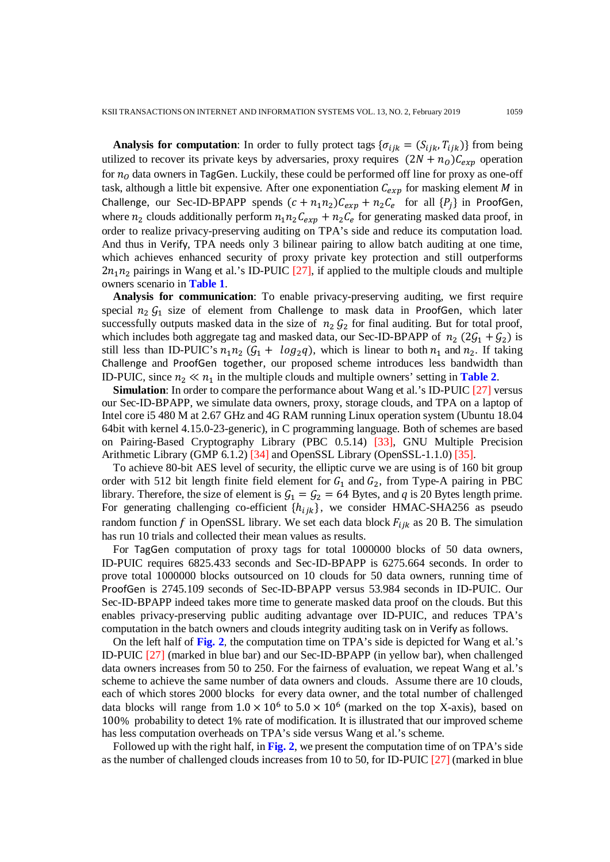**Analysis for computation**: In order to fully protect tags  $\{\sigma_{ijk} = (S_{ijk}, T_{ijk})\}$  from being utilized to recover its private keys by adversaries, proxy requires  $(2N + n_0)C_{exp}$  operation for  $n<sub>o</sub>$  data owners in TagGen. Luckily, these could be performed off line for proxy as one-off task, although a little bit expensive. After one exponentiation  $C_{exp}$  for masking element M in Challenge, our Sec-ID-BPAPP spends  $(c + n_1 n_2) C_{exp} + n_2 C_e$  for all  $\{P_j\}$  in ProofGen, where  $n_2$  clouds additionally perform  $n_1 n_2 C_{exp} + n_2 C_e$  for generating masked data proof, in order to realize privacy-preserving auditing on TPA's side and reduce its computation load. And thus in Verify, TPA needs only 3 bilinear pairing to allow batch auditing at one time, which achieves enhanced security of proxy private key protection and still outperforms  $2n_1n_2$  pairings in Wang et al.'s ID-PUIC [27], if applied to the multiple clouds and multiple owners scenario in **Table 1**.

**Analysis for communication**: To enable privacy-preserving auditing, we first require special  $n_2 G_1$  size of element from Challenge to mask data in ProofGen, which later successfully outputs masked data in the size of  $n_2 G_2$  for final auditing. But for total proof, which includes both aggregate tag and masked data, our Sec-ID-BPAPP of  $n_2$  (2 $\mathcal{G}_1 + \mathcal{G}_2$ ) is still less than ID-PUIC's  $n_1 n_2 (G_1 + log_2 q)$ , which is linear to both  $n_1$  and  $n_2$ . If taking Challenge and ProofGen together, our proposed scheme introduces less bandwidth than ID-PUIC, since  $n_2 \ll n_1$  in the multiple clouds and multiple owners' setting in **Table 2**.

**Simulation**: In order to compare the performance about Wang et al.'s ID-PUIC [27] versus our Sec-ID-BPAPP, we simulate data owners, proxy, storage clouds, and TPA on a laptop of Intel core i5 480 M at 2.67 GHz and 4G RAM running Linux operation system (Ubuntu 18.04 64bit with kernel 4.15.0-23-generic), in C programming language. Both of schemes are based on Pairing-Based Cryptography Library (PBC 0.5.14) [33], GNU Multiple Precision Arithmetic Library (GMP 6.1.2) [34] and OpenSSL Library (OpenSSL-1.1.0) [35].

To achieve 80-bit AES level of security, the elliptic curve we are using is of 160 bit group order with 512 bit length finite field element for  $G_1$  and  $G_2$ , from Type-A pairing in PBC library. Therefore, the size of element is  $G_1 = G_2 = 64$  Bytes, and *q* is 20 Bytes length prime. For generating challenging co-efficient  $\{h_{ijk}\}\$ , we consider HMAC-SHA256 as pseudo random function f in OpenSSL library. We set each data block  $F_{iik}$  as 20 B. The simulation has run 10 trials and collected their mean values as results.

For TagGen computation of proxy tags for total 1000000 blocks of 50 data owners, ID-PUIC requires 6825.433 seconds and Sec-ID-BPAPP is 6275.664 seconds. In order to prove total 1000000 blocks outsourced on 10 clouds for 50 data owners, running time of ProofGen is 2745.109 seconds of Sec-ID-BPAPP versus 53.984 seconds in ID-PUIC. Our Sec-ID-BPAPP indeed takes more time to generate masked data proof on the clouds. But this enables privacy-preserving public auditing advantage over ID-PUIC, and reduces TPA's computation in the batch owners and clouds integrity auditing task on in Verify as follows.

On the left half of **Fig. 2**, the computation time on TPA's side is depicted for Wang et al.'s ID-PUIC [27] (marked in blue bar) and our Sec-ID-BPAPP (in yellow bar), when challenged data owners increases from 50 to 250. For the fairness of evaluation, we repeat Wang et al.'s scheme to achieve the same number of data owners and clouds. Assume there are 10 clouds, each of which stores 2000 blocks for every data owner, and the total number of challenged data blocks will range from  $1.0 \times 10^6$  to  $5.0 \times 10^6$  (marked on the top X-axis), based on 100% probability to detect 1% rate of modification. It is illustrated that our improved scheme has less computation overheads on TPA's side versus Wang et al.'s scheme.

Followed up with the right half, in **Fig. 2**, we present the computation time of on TPA's side as the number of challenged clouds increases from 10 to 50, for ID-PUIC [27] (marked in blue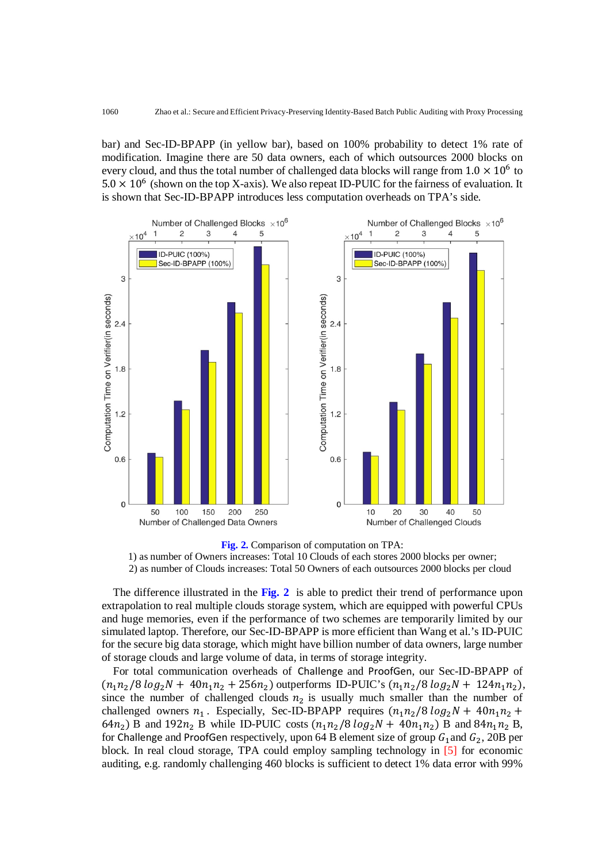bar) and Sec-ID-BPAPP (in yellow bar), based on 100% probability to detect 1% rate of modification. Imagine there are 50 data owners, each of which outsources 2000 blocks on every cloud, and thus the total number of challenged data blocks will range from  $1.0 \times 10^6$  to  $5.0 \times 10^6$  (shown on the top X-axis). We also repeat ID-PUIC for the fairness of evaluation. It is shown that Sec-ID-BPAPP introduces less computation overheads on TPA's side.



**Fig. 2.** Comparison of computation on TPA: 1) as number of Owners increases: Total 10 Clouds of each stores 2000 blocks per owner; 2) as number of Clouds increases: Total 50 Owners of each outsources 2000 blocks per cloud

The difference illustrated in the **Fig. 2** is able to predict their trend of performance upon extrapolation to real multiple clouds storage system, which are equipped with powerful CPUs and huge memories, even if the performance of two schemes are temporarily limited by our simulated laptop. Therefore, our Sec-ID-BPAPP is more efficient than Wang et al.'s ID-PUIC for the secure big data storage, which might have billion number of data owners, large number of storage clouds and large volume of data, in terms of storage integrity.

For total communication overheads of Challenge and ProofGen, our Sec-ID-BPAPP of  $(n_1n_2/8 \log_2 N + 40n_1n_2 + 256n_2)$  outperforms ID-PUIC's  $(n_1n_2/8 \log_2 N + 124n_1n_2)$ , since the number of challenged clouds  $n_2$  is usually much smaller than the number of challenged owners  $n_1$ . Especially, Sec-ID-BPAPP requires  $(n_1 n_2/8 \log_2 N + 40n_1 n_2 +$ 64 $n_2$ ) B and 192 $n_2$  B while ID-PUIC costs  $(n_1n_2/8 \log_2 N + 40n_1n_2)$  B and 84 $n_1n_2$  B, for Challenge and ProofGen respectively, upon 64 B element size of group  $G_1$  and  $G_2$ , 20B per block. In real cloud storage, TPA could employ sampling technology in [5] for economic auditing, e.g. randomly challenging 460 blocks is sufficient to detect 1% data error with 99%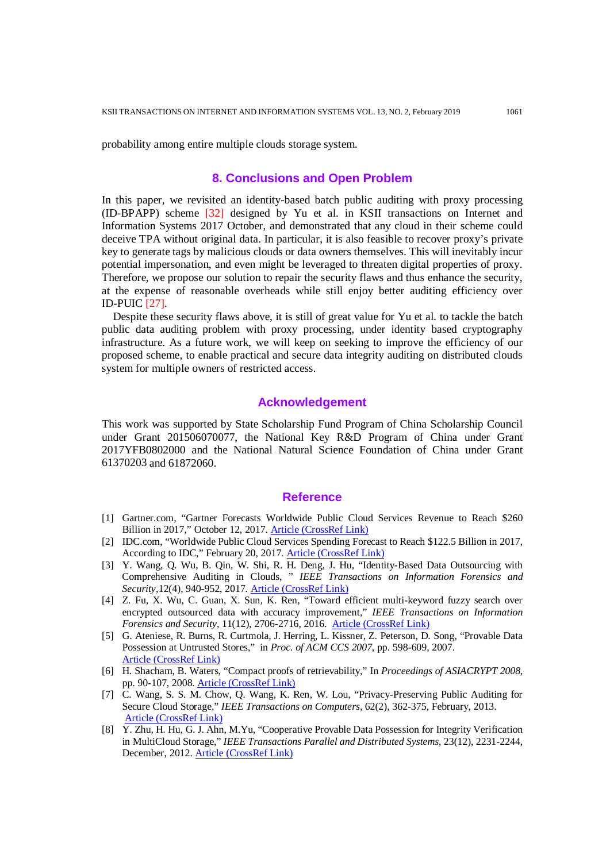probability among entire multiple clouds storage system.

#### **8. Conclusions and Open Problem**

In this paper, we revisited an identity-based batch public auditing with proxy processing (ID-BPAPP) scheme [32] designed by Yu et al. in KSII transactions on Internet and Information Systems 2017 October, and demonstrated that any cloud in their scheme could deceive TPA without original data. In particular, it is also feasible to recover proxy's private key to generate tags by malicious clouds or data owners themselves. This will inevitably incur potential impersonation, and even might be leveraged to threaten digital properties of proxy. Therefore, we propose our solution to repair the security flaws and thus enhance the security, at the expense of reasonable overheads while still enjoy better auditing efficiency over ID-PUIC [27].

Despite these security flaws above, it is still of great value for Yu et al. to tackle the batch public data auditing problem with proxy processing, under identity based cryptography infrastructure. As a future work, we will keep on seeking to improve the efficiency of our proposed scheme, to enable practical and secure data integrity auditing on distributed clouds system for multiple owners of restricted access.

# **Acknowledgement**

This work was supported by State Scholarship Fund Program of China Scholarship Council under Grant 201506070077, the National Key R&D Program of China under Grant 2017YFB0802000 and the National Natural Science Foundation of China under Grant 61370203 and 61872060.

#### **Reference**

- [1] Gartner.com, "Gartner Forecasts Worldwide Public Cloud Services Revenue to Reach \$260 Billion in 2017," October 12, 2017. [Article \(CrossRef Link\)](https://www.gartner.com/newsroom/id/3815165)
- [2] IDC.com, "Worldwide Public Cloud Services Spending Forecast to Reach \$122.5 Billion in 2017, According to IDC," February 20, 2017. [Article \(CrossRef Link\)](http://www.idc.com/getdoc.jsp?containerId=prUS42321417)
- [3] Y. Wang, Q. Wu, B. Qin, W. Shi, R. H. Deng, J. Hu, "Identity-Based Data Outsourcing with Comprehensive Auditing in Clouds, " *IEEE Transactions on Information Forensics and Security*,12(4), 940-952, 2017. [Article \(CrossRef Link\)](https://doi.org/10.1109/TIFS.2016.2646913)
- [4] Z. Fu, X. Wu, C. Guan, X. Sun, K. Ren, "Toward efficient multi-keyword fuzzy search over encrypted outsourced data with accuracy improvement," *IEEE Transactions on Information Forensics and Security*, 11(12), 2706-2716, 2016. [Article \(CrossRef Link\)](https://doi.org/10.1109/TIFS.2016.2596138)
- [5] G. Ateniese, R. Burns, R. Curtmola, J. Herring, L. Kissner, Z. Peterson, D. Song, "Provable Data Possession at Untrusted Stores," in *Proc. of ACM CCS 2007*, pp. 598-609, 2007. [Article \(CrossRef Link\)](https://doi.org/10.1145/1315245.1315318)
- [6] H. Shacham, B. Waters, "Compact proofs of retrievability," In *Proceedings of ASIACRYPT 2008*, pp. 90-107, 2008. [Article \(CrossRef Link\)](https://doi.org/10.1007/978-3-540-89255-7_7)
- [7] C. Wang, S. S. M. Chow, Q. Wang, K. Ren, W. Lou, "Privacy-Preserving Public Auditing for Secure Cloud Storage," *IEEE Transactions on Computers*, 62(2), 362-375, February, 2013. [Article \(CrossRef Link\)](https://doi.org/10.1109/TC.2011.245)
- [8] Y. Zhu, H. Hu, G. J. Ahn, M.Yu, "Cooperative Provable Data Possession for Integrity Verification in MultiCloud Storage," *IEEE Transactions Parallel and Distributed Systems*, 23(12), 2231-2244, December, 2012. [Article \(CrossRef Link\)](https://doi.org/10.1109/TPDS.2012.66)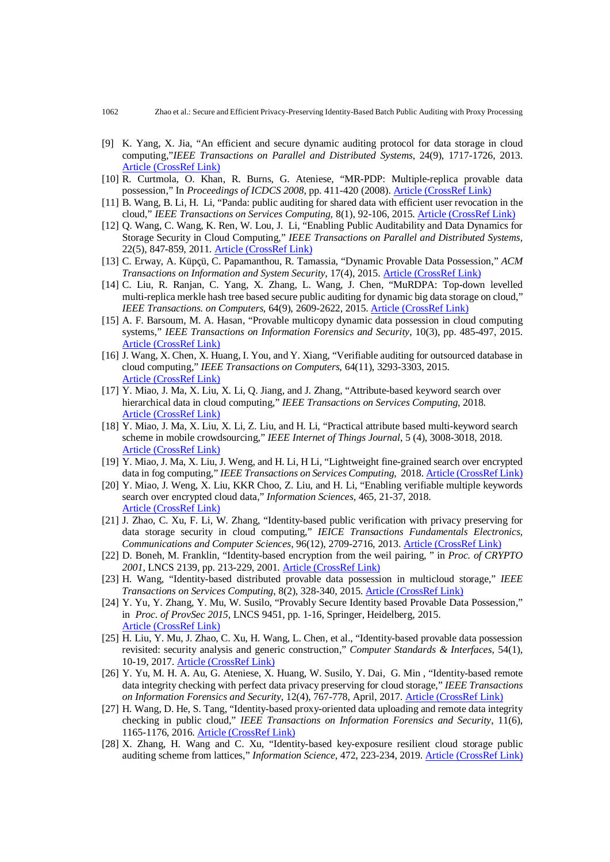- [9] K. Yang, X. Jia, "An efficient and secure dynamic auditing protocol for data storage in cloud computing,"*IEEE Transactions on Parallel and Distributed Systems*, 24(9), 1717-1726, 2013. [Article \(CrossRef Link\)](https://doi.org/10.1109/TPDS.2012.278)
- [10] R. Curtmola, O. Khan, R. Burns, G. Ateniese, "MR-PDP: Multiple-replica provable data possession," In *Proceedings of ICDCS 2008*, pp. 411-420 (2008). [Article \(CrossRef Link\)](https://doi.org/10.1109/ICDCS.2008.68)
- [11] B. Wang, B. Li, H. Li, "Panda: public auditing for shared data with efficient user revocation in the cloud," *IEEE Transactions on Services Computing*, 8(1), 92-106, 2015. [Article \(CrossRef Link\)](https://doi.org/10.1109/TSC.2013.2295611)
- [12] Q. Wang, C. Wang, K. Ren, W. Lou, J. Li, "Enabling Public Auditability and Data Dynamics for Storage Security in Cloud Computing," *IEEE Transactions on Parallel and Distributed Systems*, 22(5), 847-859, 2011. [Article \(CrossRef Link\)](https://doi.org/10.1109/TPDS.2010.183)
- [13] C. Erway, A. Küpçü, C. Papamanthou, R. Tamassia, "Dynamic Provable Data Possession," *ACM Transactions on Information and System Security*, 17(4), 2015. [Article \(CrossRef Link\)](https://doi.org/10.1145/1653662.1653688)
- [14] C. Liu, R. Ranjan, C. Yang, X. Zhang, L. Wang, J. Chen, "MuRDPA: Top-down levelled multi-replica merkle hash tree based secure public auditing for dynamic big data storage on cloud," *IEEE Transactions. on Computers*, 64(9), 2609-2622, 2015. [Article \(CrossRef Link\)](https://doi.org/10.1109/TC.2014.2375190)
- [15] A. F. Barsoum, M. A. Hasan, "Provable multicopy dynamic data possession in cloud computing systems," *IEEE Transactions on Information Forensics and Security*, 10(3), pp. 485-497, 2015. [Article \(CrossRef Link\)](https://doi.org/10.1109/TIFS.2014.2384391)
- [16] J. Wang, X. Chen, X. Huang, I. You, and Y. Xiang, "Verifiable auditing for outsourced database in cloud computing," *IEEE Transactions on Computers*, 64(11), 3293-3303, 2015. [Article \(CrossRef Link\)](https://doi.org/10.1109/TC.2015.2401036)
- [17] Y. Miao, J. Ma, X. Liu, X. Li, Q. Jiang, and J. Zhang, "Attribute-based keyword search over hierarchical data in cloud computing," *IEEE Transactions on Services Computing*, 2018. [Article \(CrossRef Link\)](https://doi.org/10.1109/TSC.2017.2757467)
- [18] Y. Miao, J. Ma, X. Liu, X. Li, Z. Liu, and H. Li, "Practical attribute based multi-keyword search scheme in mobile crowdsourcing," *IEEE Internet of Things Journal*, 5 (4), 3008-3018, 2018. [Article \(CrossRef Link\)](https://doi.org/10.1109/JIOT.2017.2779124)
- [19] Y. Miao, J. Ma, X. Liu, J. Weng, and H. Li, H Li, "Lightweight fine-grained search over encrypted data in fog computing," *IEEE Transactions on Services Computing*, 2018. [Article \(CrossRef Link\)](https://doi.org/10.1109/TSC.2018.2823309)
- [20] Y. Miao, J. Weng, X. Liu, KKR Choo, Z. Liu, and H. Li, "Enabling verifiable multiple keywords search over encrypted cloud data," *Information Sciences*, 465, 21-37, 2018. [Article \(CrossRef Link\)](https://doi.org/10.1016/j.ins.2018.06.066)
- [21] J. Zhao, C. Xu, F. Li, W. Zhang, "Identity-based public verification with privacy preserving for data storage security in cloud computing," *IEICE Transactions Fundamentals Electronics, Communications and Computer Sciences,* 96(12), 2709-2716, 2013. [Article \(CrossRef Link\)](https://doi.org/10.1587/transfun.E96.A.2709)
- [22] D. Boneh, M. Franklin, "Identity-based encryption from the weil pairing, " in *Proc. of CRYPTO 2001*, LNCS 2139, pp. 213-229, 2001. [Article \(CrossRef Link\)](https://doi.org/10.1007/3-540-44647-8_13)
- [23] H. Wang, "Identity-based distributed provable data possession in multicloud storage," *IEEE Transactions on Services Computing*, 8(2), 328-340, 2015. [Article \(CrossRef Link\)](https://doi.org/10.1109/TSC.2014.1)
- [24] Y. Yu, Y. Zhang, Y. Mu, W. Susilo, "Provably Secure Identity based Provable Data Possession," in *Proc. of ProvSec 2015*, LNCS 9451, pp. 1-16, Springer, Heidelberg, 2015. [Article \(CrossRef Link\)](https://doi.org/10.1007/978-3-319-26059-4_17)
- [25] H. Liu, Y. Mu, J. Zhao, C. Xu, H. Wang, L. Chen, et al., "Identity-based provable data possession revisited: security analysis and generic construction," *Computer Standards & Interfaces*, 54(1), 10-19, 2017. [Article \(CrossRef Link\)](https://doi.org/10.1016/j.csi.2016.09.012)
- [26] Y. Yu, M. H. A. Au, G. Ateniese, X. Huang, W. Susilo, Y. Dai, G. Min , "Identity-based remote data integrity checking with perfect data privacy preserving for cloud storage," *IEEE Transactions on Information Forensics and Security*, 12(4), 767-778, April, 2017. [Article \(CrossRef Link\)](https://doi.org/10.1109/TIFS.2016.2615853)
- [27] H. Wang, D. He, S. Tang, "Identity-based proxy-oriented data uploading and remote data integrity checking in public cloud," *IEEE Transactions on Information Forensics and Security*, 11(6), 1165-1176, 2016. [Article \(CrossRef Link\)](https://doi.org/10.1109/TIFS.2016.2520886)
- [28] X. Zhang, H. Wang and C. Xu, "Identity-based key-exposure resilient cloud storage public auditing scheme from lattices," *Information Science*, 472, 223-234, 2019. [Article \(CrossRef Link\)](https://doi.org/10.1016/j.ins.2018.09.013)